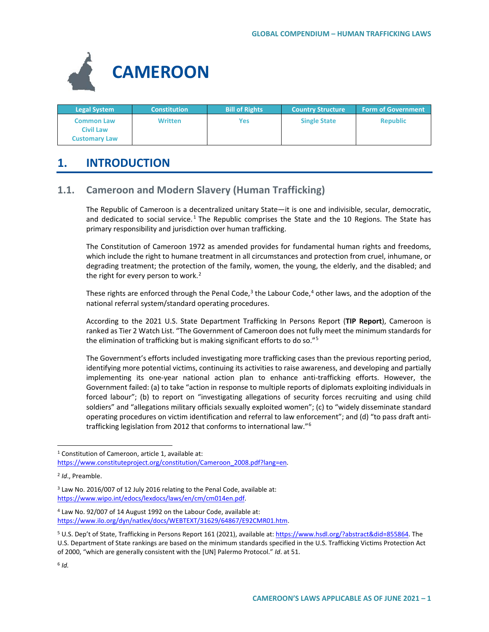

| <b>Legal System</b>                                           | <b>Constitution</b> | <b>Bill of Rights</b> | <b>Country Structure</b> | <b>Form of Government</b> |
|---------------------------------------------------------------|---------------------|-----------------------|--------------------------|---------------------------|
| <b>Common Law</b><br><b>Civil Law</b><br><b>Customary Law</b> | <b>Written</b>      | Yes                   | <b>Single State</b>      | <b>Republic</b>           |

# **1. INTRODUCTION**

## **1.1. Cameroon and Modern Slavery (Human Trafficking)**

The Republic of Cameroon is a decentralized unitary State—it is one and indivisible, secular, democratic, and dedicated to social service.<sup>[1](#page-0-0)</sup> The Republic comprises the State and the 10 Regions. The State has primary responsibility and jurisdiction over human trafficking.

The Constitution of Cameroon 1972 as amended provides for fundamental human rights and freedoms, which include the right to humane treatment in all circumstances and protection from cruel, inhumane, or degrading treatment; the protection of the family, women, the young, the elderly, and the disabled; and the right for every person to work. $2$ 

These rights are enforced through the Penal Code, $3$  the Labour Code, $4$  other laws, and the adoption of the national referral system/standard operating procedures.

According to the 2021 U.S. State Department Trafficking In Persons Report (**TIP Report**), Cameroon is ranked as Tier 2 Watch List. "The Government of Cameroon does not fully meet the minimum standards for the elimination of trafficking but is making significant efforts to do so."[5](#page-0-4)

The Government's efforts included investigating more trafficking cases than the previous reporting period, identifying more potential victims, continuing its activities to raise awareness, and developing and partially implementing its one-year national action plan to enhance anti-trafficking efforts. However, the Government failed: (a) to take "action in response to multiple reports of diplomats exploiting individuals in forced labour"; (b) to report on "investigating allegations of security forces recruiting and using child soldiers" and "allegations military officials sexually exploited women"; (c) to "widely disseminate standard operating procedures on victim identification and referral to law enforcement"; and (d) "to pass draft antitrafficking legislation from 2012 that conforms to international law."[6](#page-0-5)

<span id="page-0-0"></span><sup>&</sup>lt;sup>1</sup> Constitution of Cameroon, article 1, available at: [https://www.constituteproject.org/constitution/Cameroon\\_2008.pdf?lang=en.](https://www.constituteproject.org/constitution/Cameroon_2008.pdf?lang=en)

<span id="page-0-1"></span><sup>2</sup> *Id*., Preamble.

<span id="page-0-2"></span><sup>3</sup> Law No. 2016/007 of 12 July 2016 relating to the Penal Code, available at: [https://www.wipo.int/edocs/lexdocs/laws/en/cm/cm014en.pdf.](https://www.wipo.int/edocs/lexdocs/laws/en/cm/cm014en.pdf) 

<span id="page-0-3"></span><sup>4</sup> Law No. 92/007 of 14 August 1992 on the Labour Code, available at: [https://www.ilo.org/dyn/natlex/docs/WEBTEXT/31629/64867/E92CMR01.htm.](https://www.ilo.org/dyn/natlex/docs/WEBTEXT/31629/64867/E92CMR01.htm) 

<span id="page-0-5"></span><span id="page-0-4"></span><sup>&</sup>lt;sup>5</sup> U.S. Dep't of State, Trafficking in Persons Report 161 (2021), available at[: https://www.hsdl.org/?abstract&did=855864.](https://www.hsdl.org/?abstract&did=855864) The U.S. Department of State rankings are based on the minimum standards specified in the U.S. Trafficking Victims Protection Act of 2000, "which are generally consistent with the [UN] Palermo Protocol." *Id*. at 51.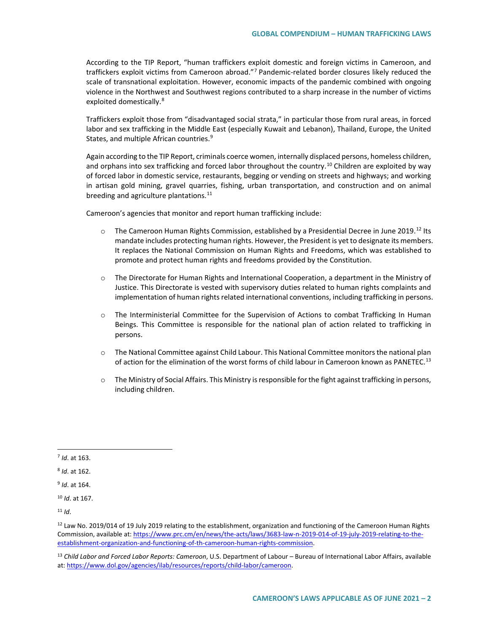According to the TIP Report, "human traffickers exploit domestic and foreign victims in Cameroon, and traffickers exploit victims from Cameroon abroad."[7](#page-1-0) Pandemic-related border closures likely reduced the scale of transnational exploitation. However, economic impacts of the pandemic combined with ongoing violence in the Northwest and Southwest regions contributed to a sharp increase in the number of victims exploited domestically.<sup>8</sup>

Traffickers exploit those from "disadvantaged social strata," in particular those from rural areas, in forced labor and sex trafficking in the Middle East (especially Kuwait and Lebanon), Thailand, Europe, the United States, and multiple African countries.<sup>[9](#page-1-2)</sup>

Again according to the TIP Report, criminals coerce women, internally displaced persons, homeless children, and orphans into sex trafficking and forced labor throughout the country.<sup>[10](#page-1-3)</sup> Children are exploited by way of forced labor in domestic service, restaurants, begging or vending on streets and highways; and working in artisan gold mining, gravel quarries, fishing, urban transportation, and construction and on animal breeding and agriculture plantations. $^{11}$  $^{11}$  $^{11}$ 

Cameroon's agencies that monitor and report human trafficking include:

- o The Cameroon Human Rights Commission, established by a Presidential Decree in June 2019.<sup>[12](#page-1-5)</sup> Its mandate includes protecting human rights. However, the President is yet to designate its members. It replaces the National Commission on Human Rights and Freedoms, which was established to promote and protect human rights and freedoms provided by the Constitution.
- o The Directorate for Human Rights and International Cooperation, a department in the Ministry of Justice. This Directorate is vested with supervisory duties related to human rights complaints and implementation of human rights related international conventions, including trafficking in persons.
- o The Interministerial Committee for the Supervision of Actions to combat Trafficking In Human Beings. This Committee is responsible for the national plan of action related to trafficking in persons.
- $\circ$  The National Committee against Child Labour. This National Committee monitors the national plan of action for the elimination of the worst forms of child labour in Cameroon known as PANETEC.<sup>[13](#page-1-6)</sup>
- o The Ministry of Social Affairs. This Ministry is responsible for the fight against trafficking in persons, including children.

<span id="page-1-4"></span> $11$  *Id.* 

<span id="page-1-0"></span> <sup>7</sup> *Id*. at 163.

<span id="page-1-1"></span><sup>8</sup> *Id*. at 162.

<span id="page-1-2"></span><sup>9</sup> *Id*. at 164.

<span id="page-1-3"></span><sup>10</sup> *Id*. at 167.

<span id="page-1-5"></span><sup>&</sup>lt;sup>12</sup> Law No. 2019/014 of 19 July 2019 relating to the establishment, organization and functioning of the Cameroon Human Rights Commission, available at[: https://www.prc.cm/en/news/the-acts/laws/3683-law-n-2019-014-of-19-july-2019-relating-to-the](https://www.prc.cm/en/news/the-acts/laws/3683-law-n-2019-014-of-19-july-2019-relating-to-the-establishment-organization-and-functioning-of-th-cameroon-human-rights-commission)[establishment-organization-and-functioning-of-th-cameroon-human-rights-commission.](https://www.prc.cm/en/news/the-acts/laws/3683-law-n-2019-014-of-19-july-2019-relating-to-the-establishment-organization-and-functioning-of-th-cameroon-human-rights-commission)

<span id="page-1-6"></span><sup>13</sup> *Child Labor and Forced Labor Reports: Cameroon*, U.S. Department of Labour – Bureau of International Labor Affairs, available at: [https://www.dol.gov/agencies/ilab/resources/reports/child-labor/cameroon.](https://www.dol.gov/agencies/ilab/resources/reports/child-labor/cameroon)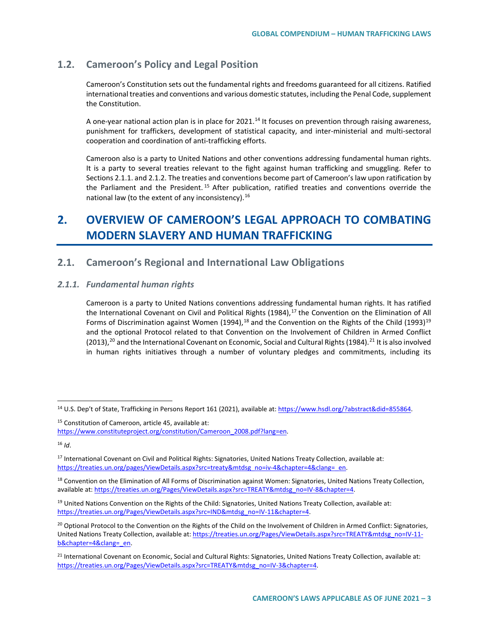## **1.2. Cameroon's Policy and Legal Position**

Cameroon's Constitution sets out the fundamental rights and freedoms guaranteed for all citizens. Ratified international treaties and conventions and various domestic statutes, including the Penal Code, supplement the Constitution.

A one-year national action plan is in place for 2021.<sup>[14](#page-2-0)</sup> It focuses on prevention through raising awareness, punishment for traffickers, development of statistical capacity, and inter-ministerial and multi-sectoral cooperation and coordination of anti-trafficking efforts.

Cameroon also is a party to United Nations and other conventions addressing fundamental human rights. It is a party to several treaties relevant to the fight against human trafficking and smuggling. Refer to Sections 2.1.1. and 2.1.2. The treaties and conventions become part of Cameroon's law upon ratification by the Parliament and the President. [15](#page-2-1) After publication, ratified treaties and conventions override the national law (to the extent of any inconsistency).<sup>[16](#page-2-2)</sup>

# **2. OVERVIEW OF CAMEROON'S LEGAL APPROACH TO COMBATING MODERN SLAVERY AND HUMAN TRAFFICKING**

## **2.1. Cameroon's Regional and International Law Obligations**

### *2.1.1. Fundamental human rights*

Cameroon is a party to United Nations conventions addressing fundamental human rights. It has ratified the International Covenant on Civil and Political Rights (1984),<sup>[17](#page-2-3)</sup> the Convention on the Elimination of All Forms of Discrimination against Women (1994),<sup>[18](#page-2-4)</sup> and the Convention on the Rights of the Child ([19](#page-2-5)93)<sup>19</sup> and the optional Protocol related to that Convention on the Involvement of Children in Armed Conflict ([20](#page-2-6)13),<sup>20</sup> and the International Covenant on Economic, Social and Cultural Rights (1984).<sup>[21](#page-2-7)</sup> It is also involved in human rights initiatives through a number of voluntary pledges and commitments, including its

<span id="page-2-0"></span> <sup>14</sup> U.S. Dep't of State, Trafficking in Persons Report 161 (2021), available at[: https://www.hsdl.org/?abstract&did=855864.](https://www.hsdl.org/?abstract&did=855864)

<span id="page-2-1"></span><sup>15</sup> Constitution of Cameroon, article 45, available at:

[https://www.constituteproject.org/constitution/Cameroon\\_2008.pdf?lang=en.](https://www.constituteproject.org/constitution/Cameroon_2008.pdf?lang=en)

<span id="page-2-2"></span><sup>16</sup> *Id*.

<span id="page-2-3"></span><sup>&</sup>lt;sup>17</sup> International Covenant on Civil and Political Rights: Signatories, United Nations Treaty Collection, available at: [https://treaties.un.org/pages/ViewDetails.aspx?src=treaty&mtdsg\\_no=iv-4&chapter=4&clang=\\_en.](https://treaties.un.org/pages/ViewDetails.aspx?src=treaty&mtdsg_no=iv-4&chapter=4&clang=_en)

<span id="page-2-4"></span><sup>18</sup> Convention on the Elimination of All Forms of Discrimination against Women: Signatories, United Nations Treaty Collection, available at[: https://treaties.un.org/Pages/ViewDetails.aspx?src=TREATY&mtdsg\\_no=IV-8&chapter=4.](https://treaties.un.org/Pages/ViewDetails.aspx?src=TREATY&mtdsg_no=IV-8&chapter=4)

<span id="page-2-5"></span> $19$  United Nations Convention on the Rights of the Child: Signatories, United Nations Treaty Collection, available at: [https://treaties.un.org/Pages/ViewDetails.aspx?src=IND&mtdsg\\_no=IV-11&chapter=4.](https://treaties.un.org/Pages/ViewDetails.aspx?src=IND&mtdsg_no=IV-11&chapter=4)

<span id="page-2-6"></span><sup>&</sup>lt;sup>20</sup> Optional Protocol to the Convention on the Rights of the Child on the Involvement of Children in Armed Conflict: Signatories, United Nations Treaty Collection, available at[: https://treaties.un.org/Pages/ViewDetails.aspx?src=TREATY&mtdsg\\_no=IV-11](https://treaties.un.org/Pages/ViewDetails.aspx?src=TREATY&mtdsg_no=IV-11-b&chapter=4&clang=_en) [b&chapter=4&clang=\\_en.](https://treaties.un.org/Pages/ViewDetails.aspx?src=TREATY&mtdsg_no=IV-11-b&chapter=4&clang=_en) 

<span id="page-2-7"></span><sup>&</sup>lt;sup>21</sup> International Covenant on Economic, Social and Cultural Rights: Signatories, United Nations Treaty Collection, available at: https://treaties.un.org/Pages/ViewDetails.aspx?src=TREATY&mtdsg\_no=IV-3&chapter=4.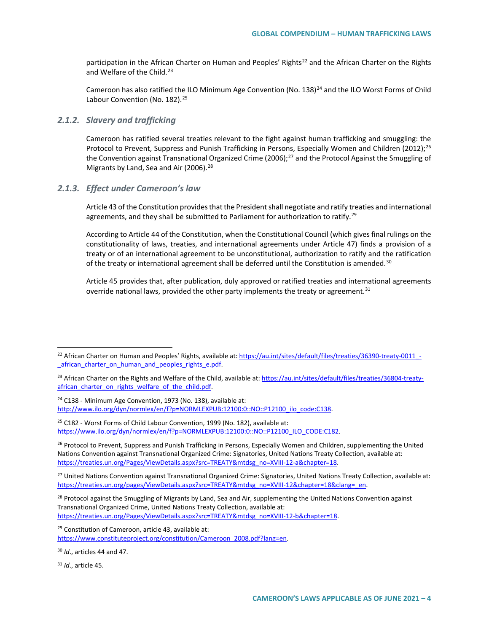participation in the African Charter on Human and Peoples' Rights<sup>[22](#page-3-0)</sup> and the African Charter on the Rights and Welfare of the Child.<sup>[23](#page-3-1)</sup>

Cameroon has also ratified the ILO Minimum Age Convention (No. 138)<sup>[24](#page-3-2)</sup> and the ILO Worst Forms of Child Labour Convention (No. 182).<sup>[25](#page-3-3)</sup>

### *2.1.2. Slavery and trafficking*

Cameroon has ratified several treaties relevant to the fight against human trafficking and smuggling: the Protocol to Prevent, Suppress and Punish Trafficking in Persons, Especially Women and Children (2012);<sup>26</sup> the Convention against Transnational Organized Crime (2006);<sup>[27](#page-3-5)</sup> and the Protocol Against the Smuggling of Migrants by Land, Sea and Air (2006).<sup>[28](#page-3-6)</sup>

#### *2.1.3. Effect under Cameroon's law*

Article 43 of the Constitution provides that the President shall negotiate and ratify treaties and international agreements, and they shall be submitted to Parliament for authorization to ratify.<sup>[29](#page-3-7)</sup>

According to Article 44 of the Constitution, when the Constitutional Council (which gives final rulings on the constitutionality of laws, treaties, and international agreements under Article 47) finds a provision of a treaty or of an international agreement to be unconstitutional, authorization to ratify and the ratification of the treaty or international agreement shall be deferred until the Constitution is amended.<sup>[30](#page-3-8)</sup>

Article 45 provides that, after publication, duly approved or ratified treaties and international agreements override national laws, provided the other party implements the treaty or agreement. $31$ 

<span id="page-3-2"></span><sup>24</sup> C138 - Minimum Age Convention, 1973 (No. 138), available at: [http://www.ilo.org/dyn/normlex/en/f?p=NORMLEXPUB:12100:0::NO::P12100\\_ilo\\_code:C138.](http://www.ilo.org/dyn/normlex/en/f?p=NORMLEXPUB:12100:0::NO::P12100_ilo_code:C138)

<span id="page-3-3"></span><sup>25</sup> C182 - Worst Forms of Child Labour Convention, 1999 (No. 182), available at: https://www.ilo.org/dyn/normlex/en/f?p=NORMLEXPUB:12100:0::NO::P12100\_ILO\_CODE:C182.

<span id="page-3-4"></span><sup>26</sup> Protocol to Prevent, Suppress and Punish Trafficking in Persons, Especially Women and Children, supplementing the United Nations Convention against Transnational Organized Crime: Signatories, United Nations Treaty Collection, available at: [https://treaties.un.org/Pages/ViewDetails.aspx?src=TREATY&mtdsg\\_no=XVIII-12-a&chapter=18.](https://treaties.un.org/Pages/ViewDetails.aspx?src=TREATY&mtdsg_no=XVIII-12-a&chapter=18)

<span id="page-3-5"></span><sup>27</sup> United Nations Convention against Transnational Organized Crime: Signatories, United Nations Treaty Collection, available at: https://treaties.un.org/pages/ViewDetails.aspx?src=TREATY&mtdsg\_no=XVIII-12&chapter=18&clang=\_en.

<span id="page-3-6"></span><sup>28</sup> Protocol against the Smuggling of Migrants by Land, Sea and Air, supplementing the United Nations Convention against Transnational Organized Crime, United Nations Treaty Collection, available at: [https://treaties.un.org/Pages/ViewDetails.aspx?src=TREATY&mtdsg\\_no=XVIII-12-b&chapter=18.](https://treaties.un.org/Pages/ViewDetails.aspx?src=TREATY&mtdsg_no=XVIII-12-b&chapter=18) 

<span id="page-3-7"></span><sup>29</sup> Constitution of Cameroon, article 43, available at:

[https://www.constituteproject.org/constitution/Cameroon\\_2008.pdf?lang=en.](https://www.constituteproject.org/constitution/Cameroon_2008.pdf?lang=en)

<span id="page-3-8"></span><sup>30</sup> *Id*., articles 44 and 47.

<span id="page-3-9"></span><sup>31</sup> *Id*., article 45.

<span id="page-3-0"></span><sup>&</sup>lt;sup>22</sup> African Charter on Human and Peoples' Rights, available at[: https://au.int/sites/default/files/treaties/36390-treaty-0011\\_](https://au.int/sites/default/files/treaties/36390-treaty-0011_-_african_charter_on_human_and_peoples_rights_e.pdf) african charter on human and peoples rights e.pdf.

<span id="page-3-1"></span><sup>&</sup>lt;sup>23</sup> African Charter on the Rights and Welfare of the Child, available at: [https://au.int/sites/default/files/treaties/36804-treaty](https://au.int/sites/default/files/treaties/36804-treaty-african_charter_on_rights_welfare_of_the_child.pdf)african charter on rights welfare of the child.pdf.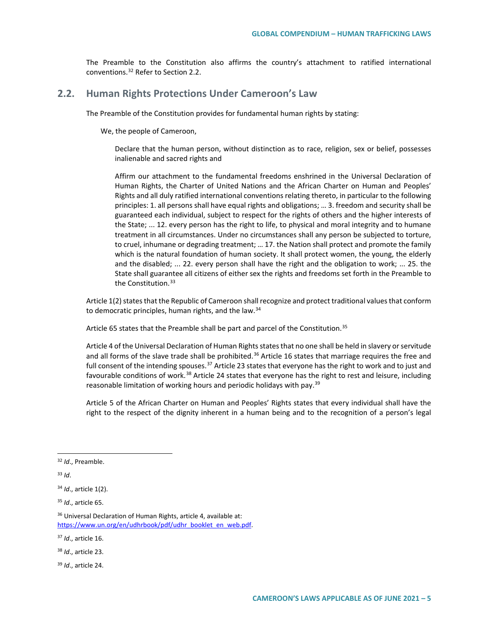The Preamble to the Constitution also affirms the country's attachment to ratified international conventions.[32](#page-4-0) Refer to Section 2.2.

## **2.2. Human Rights Protections Under Cameroon's Law**

The Preamble of the Constitution provides for fundamental human rights by stating:

We, the people of Cameroon,

Declare that the human person, without distinction as to race, religion, sex or belief, possesses inalienable and sacred rights and

Affirm our attachment to the fundamental freedoms enshrined in the Universal Declaration of Human Rights, the Charter of United Nations and the African Charter on Human and Peoples' Rights and all duly ratified international conventions relating thereto, in particular to the following principles: 1. all persons shall have equal rights and obligations; … 3. freedom and security shall be guaranteed each individual, subject to respect for the rights of others and the higher interests of the State; ... 12. every person has the right to life, to physical and moral integrity and to humane treatment in all circumstances. Under no circumstances shall any person be subjected to torture, to cruel, inhumane or degrading treatment; … 17. the Nation shall protect and promote the family which is the natural foundation of human society. It shall protect women, the young, the elderly and the disabled; ... 22. every person shall have the right and the obligation to work; ... 25. the State shall guarantee all citizens of either sex the rights and freedoms set forth in the Preamble to the Constitution.<sup>[33](#page-4-1)</sup>

Article 1(2) states that the Republic of Cameroon shall recognize and protect traditional values that conform to democratic principles, human rights, and the law.<sup>[34](#page-4-2)</sup>

Article 65 states that the Preamble shall be part and parcel of the Constitution.<sup>[35](#page-4-3)</sup>

Article 4 of the Universal Declaration of Human Rights states that no one shall be held in slavery or servitude and all forms of the slave trade shall be prohibited.<sup>[36](#page-4-4)</sup> Article 16 states that marriage requires the free and full consent of the intending spouses.<sup>[37](#page-4-5)</sup> Article 23 states that everyone has the right to work and to just and favourable conditions of work.<sup>[38](#page-4-6)</sup> Article 24 states that everyone has the right to rest and leisure, including reasonable limitation of working hours and periodic holidays with pay.<sup>[39](#page-4-7)</sup>

Article 5 of the African Charter on Human and Peoples' Rights states that every individual shall have the right to the respect of the dignity inherent in a human being and to the recognition of a person's legal

<span id="page-4-1"></span><sup>33</sup> *Id*.

<span id="page-4-2"></span><sup>34</sup> *Id*., article 1(2).

<span id="page-4-0"></span> <sup>32</sup> *Id*., Preamble.

<span id="page-4-3"></span><sup>35</sup> *Id*., article 65.

<span id="page-4-4"></span><sup>36</sup> Universal Declaration of Human Rights, article 4, available at: [https://www.un.org/en/udhrbook/pdf/udhr\\_booklet\\_en\\_web.pdf.](https://www.un.org/en/udhrbook/pdf/udhr_booklet_en_web.pdf)

<span id="page-4-5"></span><sup>37</sup> *Id*., article 16.

<span id="page-4-6"></span><sup>38</sup> *Id*., article 23.

<span id="page-4-7"></span><sup>39</sup> *Id*., article 24.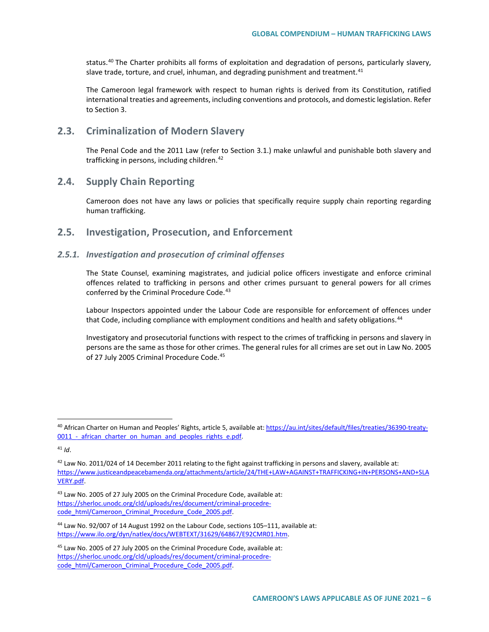status.[40](#page-5-0) The Charter prohibits all forms of exploitation and degradation of persons, particularly slavery, slave trade, torture, and cruel, inhuman, and degrading punishment and treatment. $41$ 

The Cameroon legal framework with respect to human rights is derived from its Constitution, ratified international treaties and agreements, including conventions and protocols, and domestic legislation. Refer to Section 3.

## **2.3. Criminalization of Modern Slavery**

The Penal Code and the 2011 Law (refer to Section 3.1.) make unlawful and punishable both slavery and trafficking in persons, including children.<sup>[42](#page-5-2)</sup>

## **2.4. Supply Chain Reporting**

Cameroon does not have any laws or policies that specifically require supply chain reporting regarding human trafficking.

## **2.5. Investigation, Prosecution, and Enforcement**

### *2.5.1. Investigation and prosecution of criminal offenses*

The State Counsel, examining magistrates, and judicial police officers investigate and enforce criminal offences related to trafficking in persons and other crimes pursuant to general powers for all crimes conferred by the Criminal Procedure Code.<sup>[43](#page-5-3)</sup>

Labour Inspectors appointed under the Labour Code are responsible for enforcement of offences under that Code, including compliance with employment conditions and health and safety obligations.<sup>[44](#page-5-4)</sup>

Investigatory and prosecutorial functions with respect to the crimes of trafficking in persons and slavery in persons are the same as those for other crimes. The general rules for all crimes are set out in Law No. 2005 of 27 July 2005 Criminal Procedure Code.<sup>[45](#page-5-5)</sup>

<span id="page-5-3"></span>43 Law No. 2005 of 27 July 2005 on the Criminal Procedure Code, available at: [https://sherloc.unodc.org/cld/uploads/res/document/criminal-procedre](https://sherloc.unodc.org/cld/uploads/res/document/criminal-procedre-code_html/Cameroon_Criminal_Procedure_Code_2005.pdf)[code\\_html/Cameroon\\_Criminal\\_Procedure\\_Code\\_2005.pdf.](https://sherloc.unodc.org/cld/uploads/res/document/criminal-procedre-code_html/Cameroon_Criminal_Procedure_Code_2005.pdf)

<span id="page-5-0"></span> <sup>40</sup> African Charter on Human and Peoples' Rights, article 5, available at[: https://au.int/sites/default/files/treaties/36390-treaty-](https://au.int/sites/default/files/treaties/36390-treaty-0011_-_african_charter_on_human_and_peoples_rights_e.pdf)0011 - african charter on human and peoples rights e.pdf.

<span id="page-5-1"></span><sup>41</sup> *Id*.

<span id="page-5-2"></span> $42$  Law No. 2011/024 of 14 December 2011 relating to the fight against trafficking in persons and slavery, available at: [https://www.justiceandpeacebamenda.org/attachments/article/24/THE+LAW+AGAINST+TRAFFICKING+IN+PERSONS+AND+SLA](https://www.justiceandpeacebamenda.org/attachments/article/24/THE+LAW+AGAINST+TRAFFICKING+IN+PERSONS+AND+SLAVERY.pdf) [VERY.pdf.](https://www.justiceandpeacebamenda.org/attachments/article/24/THE+LAW+AGAINST+TRAFFICKING+IN+PERSONS+AND+SLAVERY.pdf)

<span id="page-5-4"></span><sup>44</sup> Law No. 92/007 of 14 August 1992 on the Labour Code, sections 105–111, available at: [https://www.ilo.org/dyn/natlex/docs/WEBTEXT/31629/64867/E92CMR01.htm.](https://www.ilo.org/dyn/natlex/docs/WEBTEXT/31629/64867/E92CMR01.htm)

<span id="page-5-5"></span><sup>45</sup> Law No. 2005 of 27 July 2005 on the Criminal Procedure Code, available at: [https://sherloc.unodc.org/cld/uploads/res/document/criminal-procedre](https://sherloc.unodc.org/cld/uploads/res/document/criminal-procedre-code_html/Cameroon_Criminal_Procedure_Code_2005.pdf)[code\\_html/Cameroon\\_Criminal\\_Procedure\\_Code\\_2005.pdf.](https://sherloc.unodc.org/cld/uploads/res/document/criminal-procedre-code_html/Cameroon_Criminal_Procedure_Code_2005.pdf)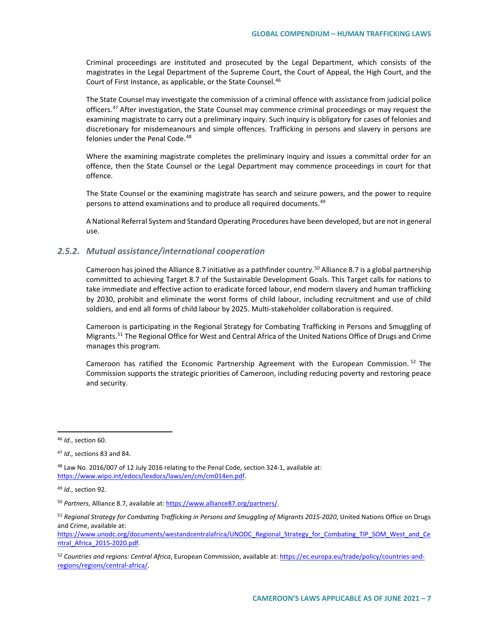Criminal proceedings are instituted and prosecuted by the Legal Department, which consists of the magistrates in the Legal Department of the Supreme Court, the Court of Appeal, the High Court, and the Court of First Instance, as applicable, or the State Counsel.<sup>[46](#page-6-0)</sup>

The State Counsel may investigate the commission of a criminal offence with assistance from judicial police officers.<sup>[47](#page-6-1)</sup> After investigation, the State Counsel may commence criminal proceedings or may request the examining magistrate to carry out a preliminary inquiry. Such inquiry is obligatory for cases of felonies and discretionary for misdemeanours and simple offences. Trafficking in persons and slavery in persons are felonies under the Penal Code.<sup>[48](#page-6-2)</sup>

Where the examining magistrate completes the preliminary inquiry and issues a committal order for an offence, then the State Counsel or the Legal Department may commence proceedings in court for that offence.

The State Counsel or the examining magistrate has search and seizure powers, and the power to require persons to attend examinations and to produce all required documents.<sup>[49](#page-6-3)</sup>

A National Referral System and Standard Operating Procedures have been developed, but are not in general use.

#### *2.5.2. Mutual assistance/international cooperation*

Cameroon has joined the Alliance 8.7 initiative as a pathfinder country.<sup>[50](#page-6-4)</sup> Alliance 8.7 is a global partnership committed to achieving Target 8.7 of the Sustainable Development Goals. This Target calls for nations to take immediate and effective action to eradicate forced labour, end modern slavery and human trafficking by 2030, prohibit and eliminate the worst forms of child labour, including recruitment and use of child soldiers, and end all forms of child labour by 2025. Multi-stakeholder collaboration is required.

Cameroon is participating in the Regional Strategy for Combating Trafficking in Persons and Smuggling of Migrants.<sup>[51](#page-6-5)</sup> The Regional Office for West and Central Africa of the United Nations Office of Drugs and Crime manages this program.

Cameroon has ratified the Economic Partnership Agreement with the European Commission. <sup>[52](#page-6-6)</sup> The Commission supports the strategic priorities of Cameroon, including reducing poverty and restoring peace and security.

<span id="page-6-0"></span> <sup>46</sup> *Id*., section 60.

<span id="page-6-1"></span><sup>47</sup> *Id*., sections 83 and 84.

<span id="page-6-2"></span><sup>48</sup> Law No. 2016/007 of 12 July 2016 relating to the Penal Code, section 324-1, available at: [https://www.wipo.int/edocs/lexdocs/laws/en/cm/cm014en.pdf.](https://www.wipo.int/edocs/lexdocs/laws/en/cm/cm014en.pdf)

<span id="page-6-3"></span><sup>49</sup> *Id*., section 92.

<span id="page-6-4"></span><sup>50</sup> *Partners*, Alliance 8.7, available at: [https://www.alliance87.org/partners/.](https://www.alliance87.org/partners/)

<span id="page-6-5"></span><sup>51</sup> *Regional Strategy for Combating Trafficking in Persons and Smuggling of Migrants 2015-2020*, United Nations Office on Drugs and Crime, available at:

[https://www.unodc.org/documents/westandcentralafrica/UNODC\\_Regional\\_Strategy\\_for\\_Combating\\_TIP\\_SOM\\_West\\_and\\_Ce](https://www.unodc.org/documents/westandcentralafrica/UNODC_Regional_Strategy_for_Combating_TIP_SOM_West_and_Central_Africa_2015-2020.pdf) [ntral\\_Africa\\_2015-2020.pdf.](https://www.unodc.org/documents/westandcentralafrica/UNODC_Regional_Strategy_for_Combating_TIP_SOM_West_and_Central_Africa_2015-2020.pdf)

<span id="page-6-6"></span><sup>52</sup> *Countries and regions: Central Africa*, European Commission, available at[: https://ec.europa.eu/trade/policy/countries-and](https://ec.europa.eu/trade/policy/countries-and-regions/regions/central-africa/)[regions/regions/central-africa/.](https://ec.europa.eu/trade/policy/countries-and-regions/regions/central-africa/)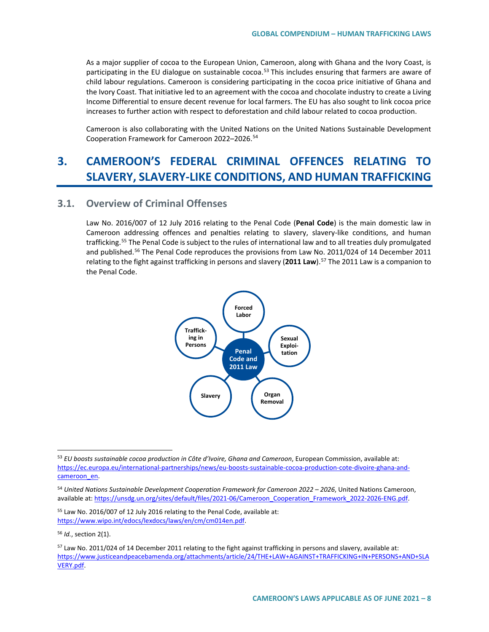As a major supplier of cocoa to the European Union, Cameroon, along with Ghana and the Ivory Coast, is participating in the EU dialogue on sustainable cocoa.<sup>53</sup> This includes ensuring that farmers are aware of child labour regulations. Cameroon is considering participating in the cocoa price initiative of Ghana and the Ivory Coast. That initiative led to an agreement with the cocoa and chocolate industry to create a Living Income Differential to ensure decent revenue for local farmers. The EU has also sought to link cocoa price increases to further action with respect to deforestation and child labour related to cocoa production.

Cameroon is also collaborating with the United Nations on the United Nations Sustainable Development Cooperation Framework for Cameroon 2022–2026.[54](#page-7-1)

# **3. CAMEROON'S FEDERAL CRIMINAL OFFENCES RELATING TO SLAVERY, SLAVERY-LIKE CONDITIONS, AND HUMAN TRAFFICKING**

## **3.1. Overview of Criminal Offenses**

Law No. 2016/007 of 12 July 2016 relating to the Penal Code (**Penal Code**) is the main domestic law in Cameroon addressing offences and penalties relating to slavery, slavery-like conditions, and human trafficking.[55](#page-7-2) The Penal Code is subject to the rules of international law and to all treaties duly promulgated and published.<sup>[56](#page-7-3)</sup> The Penal Code reproduces the provisions from Law No. 2011/024 of 14 December 2011 relating to the fight against trafficking in persons and slavery (**2011 Law**).[57](#page-7-4) The 2011 Law is a companion to the Penal Code.



<span id="page-7-0"></span> <sup>53</sup> *EU boosts sustainable cocoa production in Côte d'Ivoire, Ghana and Cameroon*, European Commission, available at: [https://ec.europa.eu/international-partnerships/news/eu-boosts-sustainable-cocoa-production-cote-divoire-ghana-and](https://ec.europa.eu/international-partnerships/news/eu-boosts-sustainable-cocoa-production-cote-divoire-ghana-and-cameroon_en)[cameroon\\_en.](https://ec.europa.eu/international-partnerships/news/eu-boosts-sustainable-cocoa-production-cote-divoire-ghana-and-cameroon_en)

<span id="page-7-1"></span><sup>54</sup> *United Nations Sustainable Development Cooperation Framework for Cameroon 2022 – 2026*, United Nations Cameroon, available at[: https://unsdg.un.org/sites/default/files/2021-06/Cameroon\\_Cooperation\\_Framework\\_2022-2026-ENG.pdf.](https://unsdg.un.org/sites/default/files/2021-06/Cameroon_Cooperation_Framework_2022-2026-ENG.pdf)

<span id="page-7-2"></span><sup>55</sup> Law No. 2016/007 of 12 July 2016 relating to the Penal Code, available at: [https://www.wipo.int/edocs/lexdocs/laws/en/cm/cm014en.pdf.](https://www.wipo.int/edocs/lexdocs/laws/en/cm/cm014en.pdf)

<span id="page-7-3"></span><sup>56</sup> *Id.*, section 2(1).

<span id="page-7-4"></span> $57$  Law No. 2011/024 of 14 December 2011 relating to the fight against trafficking in persons and slavery, available at: [https://www.justiceandpeacebamenda.org/attachments/article/24/THE+LAW+AGAINST+TRAFFICKING+IN+PERSONS+AND+SLA](https://www.justiceandpeacebamenda.org/attachments/article/24/THE+LAW+AGAINST+TRAFFICKING+IN+PERSONS+AND+SLAVERY.pdf) [VERY.pdf.](https://www.justiceandpeacebamenda.org/attachments/article/24/THE+LAW+AGAINST+TRAFFICKING+IN+PERSONS+AND+SLAVERY.pdf)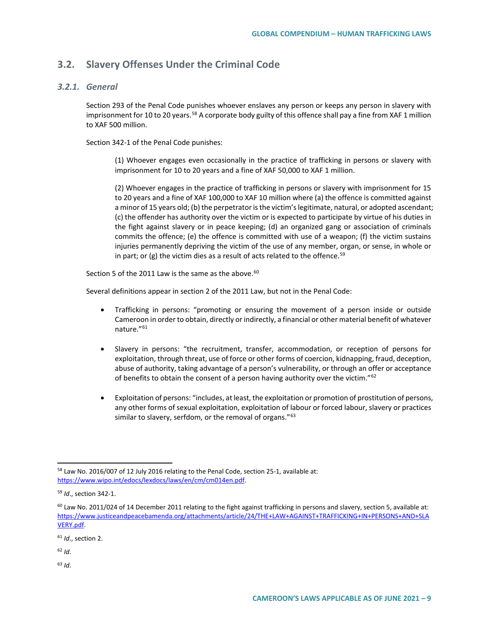## **3.2. Slavery Offenses Under the Criminal Code**

#### *3.2.1. General*

Section 293 of the Penal Code punishes whoever enslaves any person or keeps any person in slavery with imprisonment for 10 to 20 years.<sup>[58](#page-8-0)</sup> A corporate body guilty of this offence shall pay a fine from XAF 1 million to XAF 500 million.

Section 342-1 of the Penal Code punishes:

(1) Whoever engages even occasionally in the practice of trafficking in persons or slavery with imprisonment for 10 to 20 years and a fine of XAF 50,000 to XAF 1 million.

(2) Whoever engages in the practice of trafficking in persons or slavery with imprisonment for 15 to 20 years and a fine of XAF 100,000 to XAF 10 million where (a) the offence is committed against a minor of 15 years old; (b) the perpetrator is the victim's legitimate, natural, or adopted ascendant; (c) the offender has authority over the victim or is expected to participate by virtue of his duties in the fight against slavery or in peace keeping; (d) an organized gang or association of criminals commits the offence; (e) the offence is committed with use of a weapon; (f) the victim sustains injuries permanently depriving the victim of the use of any member, organ, or sense, in whole or in part; or  $(g)$  the victim dies as a result of acts related to the offence.<sup>[59](#page-8-1)</sup>

Section 5 of the 2011 Law is the same as the above.  $60$ 

Several definitions appear in section 2 of the 2011 Law, but not in the Penal Code:

- Trafficking in persons: "promoting or ensuring the movement of a person inside or outside Cameroon in order to obtain, directly or indirectly, a financial or other material benefit of whatever nature."[61](#page-8-3)
- Slavery in persons: "the recruitment, transfer, accommodation, or reception of persons for exploitation, through threat, use of force or other forms of coercion, kidnapping, fraud, deception, abuse of authority, taking advantage of a person's vulnerability, or through an offer or acceptance of benefits to obtain the consent of a person having authority over the victim."[62](#page-8-4)
- Exploitation of persons: "includes, at least, the exploitation or promotion of prostitution of persons, any other forms of sexual exploitation, exploitation of labour or forced labour, slavery or practices similar to slavery, serfdom, or the removal of organs."<sup>[63](#page-8-5)</sup>

- <span id="page-8-4"></span><sup>62</sup> *Id*.
- <span id="page-8-5"></span><sup>63</sup> *Id*.

<span id="page-8-0"></span> <sup>58</sup> Law No. 2016/007 of 12 July 2016 relating to the Penal Code, section 25-1, available at: [https://www.wipo.int/edocs/lexdocs/laws/en/cm/cm014en.pdf.](https://www.wipo.int/edocs/lexdocs/laws/en/cm/cm014en.pdf)

<span id="page-8-1"></span><sup>59</sup> *Id*., section 342-1.

<span id="page-8-2"></span> $60$  Law No. 2011/024 of 14 December 2011 relating to the fight against trafficking in persons and slavery, section 5, available at: [https://www.justiceandpeacebamenda.org/attachments/article/24/THE+LAW+AGAINST+TRAFFICKING+IN+PERSONS+AND+SLA](https://www.justiceandpeacebamenda.org/attachments/article/24/THE+LAW+AGAINST+TRAFFICKING+IN+PERSONS+AND+SLAVERY.pdf) [VERY.pdf.](https://www.justiceandpeacebamenda.org/attachments/article/24/THE+LAW+AGAINST+TRAFFICKING+IN+PERSONS+AND+SLAVERY.pdf)

<span id="page-8-3"></span><sup>61</sup> *Id*., section 2.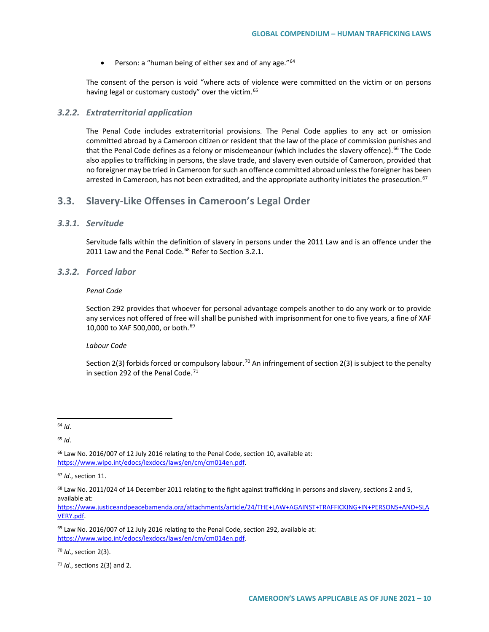• Person: a "human being of either sex and of any age."<sup>[64](#page-9-0)</sup>

The consent of the person is void "where acts of violence were committed on the victim or on persons having legal or customary custody" over the victim.<sup>[65](#page-9-1)</sup>

#### *3.2.2. Extraterritorial application*

The Penal Code includes extraterritorial provisions. The Penal Code applies to any act or omission committed abroad by a Cameroon citizen or resident that the law of the place of commission punishes and that the Penal Code defines as a felony or misdemeanour (which includes the slavery offence).<sup>[66](#page-9-2)</sup> The Code also applies to trafficking in persons, the slave trade, and slavery even outside of Cameroon, provided that no foreigner may be tried in Cameroon for such an offence committed abroad unless the foreigner has been arrested in Cameroon, has not been extradited, and the appropriate authority initiates the prosecution.<sup>[67](#page-9-3)</sup>

### **3.3. Slavery-Like Offenses in Cameroon's Legal Order**

## *3.3.1. Servitude*

Servitude falls within the definition of slavery in persons under the 2011 Law and is an offence under the 2011 Law and the Penal Code.<sup>[68](#page-9-4)</sup> Refer to Section 3.2.1.

### *3.3.2. Forced labor*

#### *Penal Code*

Section 292 provides that whoever for personal advantage compels another to do any work or to provide any services not offered of free will shall be punished with imprisonment for one to five years, a fine of XAF 10,000 to XAF 500,000, or both.<sup>[69](#page-9-5)</sup>

#### *Labour Code*

Section 2(3) forbids forced or compulsory labour.<sup>[70](#page-9-6)</sup> An infringement of section 2(3) is subject to the penalty in section 292 of the Penal Code.<sup>[71](#page-9-7)</sup>

<span id="page-9-0"></span>64 *Id*.

<span id="page-9-1"></span><sup>65</sup> *Id*.

<span id="page-9-2"></span><sup>66</sup> Law No. 2016/007 of 12 July 2016 relating to the Penal Code, section 10, available at: [https://www.wipo.int/edocs/lexdocs/laws/en/cm/cm014en.pdf.](https://www.wipo.int/edocs/lexdocs/laws/en/cm/cm014en.pdf)

<span id="page-9-5"></span><sup>69</sup> Law No. 2016/007 of 12 July 2016 relating to the Penal Code, section 292, available at: [https://www.wipo.int/edocs/lexdocs/laws/en/cm/cm014en.pdf.](https://www.wipo.int/edocs/lexdocs/laws/en/cm/cm014en.pdf)

<span id="page-9-6"></span><sup>70</sup> *Id*., section 2(3).

<span id="page-9-7"></span><sup>71</sup> *Id*., sections 2(3) and 2.

<span id="page-9-3"></span><sup>67</sup> *Id*., section 11.

<span id="page-9-4"></span> $68$  Law No. 2011/024 of 14 December 2011 relating to the fight against trafficking in persons and slavery, sections 2 and 5, available at:

[https://www.justiceandpeacebamenda.org/attachments/article/24/THE+LAW+AGAINST+TRAFFICKING+IN+PERSONS+AND+SLA](https://www.justiceandpeacebamenda.org/attachments/article/24/THE+LAW+AGAINST+TRAFFICKING+IN+PERSONS+AND+SLAVERY.pdf) [VERY.pdf.](https://www.justiceandpeacebamenda.org/attachments/article/24/THE+LAW+AGAINST+TRAFFICKING+IN+PERSONS+AND+SLAVERY.pdf)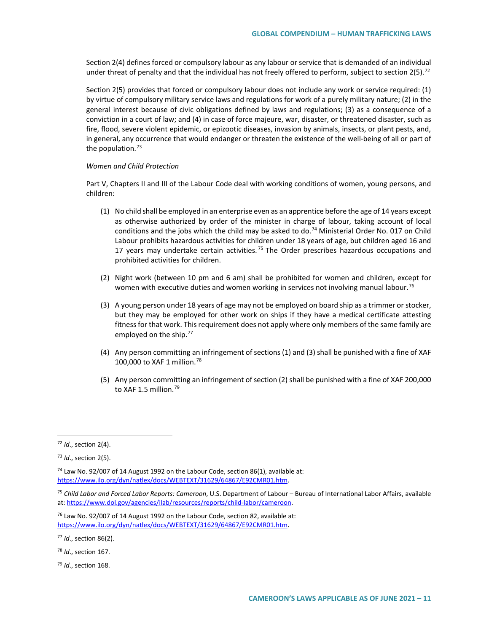Section 2(4) defines forced or compulsory labour as any labour or service that is demanded of an individual under threat of penalty and that the individual has not freely offered to perform, subject to section  $2(5)$ .<sup>[72](#page-10-0)</sup>

Section 2(5) provides that forced or compulsory labour does not include any work or service required: (1) by virtue of compulsory military service laws and regulations for work of a purely military nature; (2) in the general interest because of civic obligations defined by laws and regulations; (3) as a consequence of a conviction in a court of law; and (4) in case of force majeure, war, disaster, or threatened disaster, such as fire, flood, severe violent epidemic, or epizootic diseases, invasion by animals, insects, or plant pests, and, in general, any occurrence that would endanger or threaten the existence of the well-being of all or part of the population. $73$ 

#### *Women and Child Protection*

Part V, Chapters II and III of the Labour Code deal with working conditions of women, young persons, and children:

- (1) No child shall be employed in an enterprise even as an apprentice before the age of 14 years except as otherwise authorized by order of the minister in charge of labour, taking account of local conditions and the jobs which the child may be asked to do.<sup>[74](#page-10-2)</sup> Ministerial Order No. 017 on Child Labour prohibits hazardous activities for children under 18 years of age, but children aged 16 and 17 years may undertake certain activities.<sup>[75](#page-10-3)</sup> The Order prescribes hazardous occupations and prohibited activities for children.
- (2) Night work (between 10 pm and 6 am) shall be prohibited for women and children, except for women with executive duties and women working in services not involving manual labour.<sup>[76](#page-10-4)</sup>
- (3) A young person under 18 years of age may not be employed on board ship as a trimmer or stocker, but they may be employed for other work on ships if they have a medical certificate attesting fitness for that work. This requirement does not apply where only members of the same family are employed on the ship.<sup>[77](#page-10-5)</sup>
- (4) Any person committing an infringement of sections (1) and (3) shall be punished with a fine of XAF 100,000 to XAF 1 million.[78](#page-10-6)
- (5) Any person committing an infringement of section (2) shall be punished with a fine of XAF 200,000 to XAF 1.5 million.<sup>[79](#page-10-7)</sup>

<span id="page-10-7"></span><sup>79</sup> *Id*., section 168.

<span id="page-10-0"></span> <sup>72</sup> *Id*., section 2(4).

<span id="page-10-1"></span><sup>73</sup> *Id*., section 2(5).

<span id="page-10-2"></span> $74$  Law No. 92/007 of 14 August 1992 on the Labour Code, section 86(1), available at: [https://www.ilo.org/dyn/natlex/docs/WEBTEXT/31629/64867/E92CMR01.htm.](https://www.ilo.org/dyn/natlex/docs/WEBTEXT/31629/64867/E92CMR01.htm)

<span id="page-10-3"></span><sup>75</sup> *Child Labor and Forced Labor Reports: Cameroon*, U.S. Department of Labour – Bureau of International Labor Affairs, available at: [https://www.dol.gov/agencies/ilab/resources/reports/child-labor/cameroon.](https://www.dol.gov/agencies/ilab/resources/reports/child-labor/cameroon)

<span id="page-10-4"></span> $76$  Law No. 92/007 of 14 August 1992 on the Labour Code, section 82, available at: [https://www.ilo.org/dyn/natlex/docs/WEBTEXT/31629/64867/E92CMR01.htm.](https://www.ilo.org/dyn/natlex/docs/WEBTEXT/31629/64867/E92CMR01.htm)

<span id="page-10-5"></span><sup>77</sup> *Id*., section 86(2).

<span id="page-10-6"></span><sup>78</sup> *Id*., section 167.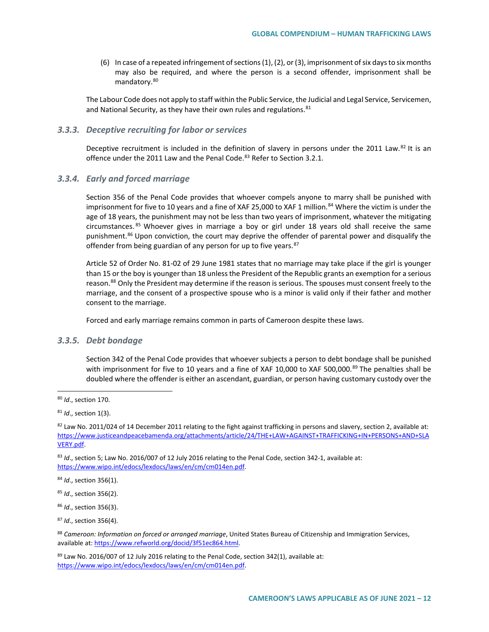(6) In case of a repeated infringement of sections (1), (2), or (3), imprisonment of six days to six months may also be required, and where the person is a second offender, imprisonment shall be mandatory.[80](#page-11-0)

The Labour Code does not apply to staff within the Public Service, the Judicial and Legal Service, Servicemen, and National Security, as they have their own rules and regulations.<sup>[81](#page-11-1)</sup>

#### *3.3.3. Deceptive recruiting for labor or services*

Deceptive recruitment is included in the definition of slavery in persons under the 2011 Law.<sup>[82](#page-11-2)</sup> It is an offence under the 2011 Law and the Penal Code.<sup>[83](#page-11-3)</sup> Refer to Section 3.2.1.

#### *3.3.4. Early and forced marriage*

Section 356 of the Penal Code provides that whoever compels anyone to marry shall be punished with imprisonment for five to 10 years and a fine of XAF 25,000 to XAF 1 million.<sup>[84](#page-11-4)</sup> Where the victim is under the age of 18 years, the punishment may not be less than two years of imprisonment, whatever the mitigating circumstances. <sup>[85](#page-11-5)</sup> Whoever gives in marriage a boy or girl under 18 years old shall receive the same punishment.<sup>[86](#page-11-6)</sup> Upon conviction, the court may deprive the offender of parental power and disqualify the offender from being guardian of any person for up to five years. [87](#page-11-7)

Article 52 of Order No. 81-02 of 29 June 1981 states that no marriage may take place if the girl is younger than 15 or the boy is younger than 18 unless the President of the Republic grants an exemption for a serious reason.<sup>[88](#page-11-8)</sup> Only the President may determine if the reason is serious. The spouses must consent freely to the marriage, and the consent of a prospective spouse who is a minor is valid only if their father and mother consent to the marriage.

Forced and early marriage remains common in parts of Cameroon despite these laws.

#### *3.3.5. Debt bondage*

Section 342 of the Penal Code provides that whoever subjects a person to debt bondage shall be punished with imprisonment for five to 10 years and a fine of XAF 10,000 to XAF 500,000.<sup>[89](#page-11-9)</sup> The penalties shall be doubled where the offender is either an ascendant, guardian, or person having customary custody over the

<span id="page-11-6"></span><sup>86</sup> *Id*., section 356(3).

<span id="page-11-7"></span><sup>87</sup> *Id*., section 356(4).

<span id="page-11-0"></span> <sup>80</sup> *Id*., section 170.

<span id="page-11-1"></span><sup>81</sup> *Id*., section 1(3).

<span id="page-11-2"></span> $82$  Law No. 2011/024 of 14 December 2011 relating to the fight against trafficking in persons and slavery, section 2, available at: [https://www.justiceandpeacebamenda.org/attachments/article/24/THE+LAW+AGAINST+TRAFFICKING+IN+PERSONS+AND+SLA](https://www.justiceandpeacebamenda.org/attachments/article/24/THE+LAW+AGAINST+TRAFFICKING+IN+PERSONS+AND+SLAVERY.pdf) [VERY.pdf.](https://www.justiceandpeacebamenda.org/attachments/article/24/THE+LAW+AGAINST+TRAFFICKING+IN+PERSONS+AND+SLAVERY.pdf)

<span id="page-11-3"></span><sup>83</sup> *Id*., section 5; Law No. 2016/007 of 12 July 2016 relating to the Penal Code, section 342-1, available at: [https://www.wipo.int/edocs/lexdocs/laws/en/cm/cm014en.pdf.](https://www.wipo.int/edocs/lexdocs/laws/en/cm/cm014en.pdf)

<span id="page-11-4"></span><sup>84</sup> *Id*., section 356(1).

<span id="page-11-5"></span><sup>85</sup> *Id*., section 356(2).

<span id="page-11-8"></span><sup>88</sup> *Cameroon: Information on forced or arranged marriage*, United States Bureau of Citizenship and Immigration Services, available at[: https://www.refworld.org/docid/3f51ec864.html.](https://www.refworld.org/docid/3f51ec864.html) 

<span id="page-11-9"></span> $89$  Law No. 2016/007 of 12 July 2016 relating to the Penal Code, section 342(1), available at: [https://www.wipo.int/edocs/lexdocs/laws/en/cm/cm014en.pdf.](https://www.wipo.int/edocs/lexdocs/laws/en/cm/cm014en.pdf)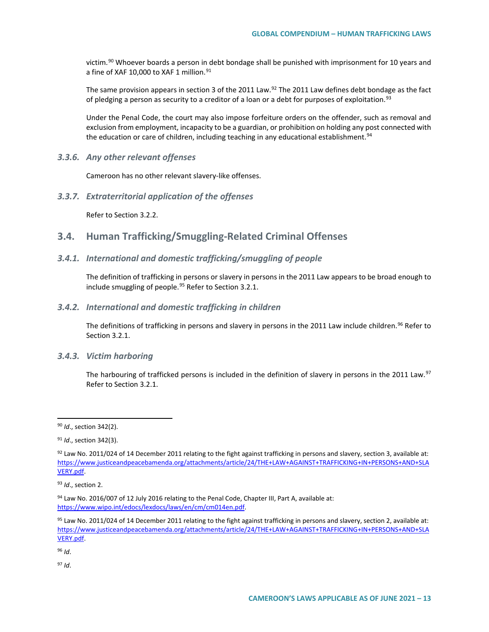victim.<sup>[90](#page-12-0)</sup> Whoever boards a person in debt bondage shall be punished with imprisonment for 10 years and a fine of XAF 10,000 to XAF 1 million.<sup>[91](#page-12-1)</sup>

The same provision appears in section 3 of the 2011 Law.<sup>[92](#page-12-2)</sup> The 2011 Law defines debt bondage as the fact of pledging a person as security to a creditor of a loan or a debt for purposes of exploitation.<sup>[93](#page-12-3)</sup>

Under the Penal Code, the court may also impose forfeiture orders on the offender, such as removal and exclusion from employment, incapacity to be a guardian, or prohibition on holding any post connected with the education or care of children, including teaching in any educational establishment.<sup>94</sup>

*3.3.6. Any other relevant offenses*

Cameroon has no other relevant slavery-like offenses.

*3.3.7. Extraterritorial application of the offenses*

Refer to Section 3.2.2.

## **3.4. Human Trafficking/Smuggling-Related Criminal Offenses**

#### *3.4.1. International and domestic trafficking/smuggling of people*

The definition of trafficking in persons or slavery in persons in the 2011 Law appears to be broad enough to include smuggling of people.<sup>[95](#page-12-5)</sup> Refer to Section 3.2.1.

#### *3.4.2. International and domestic trafficking in children*

The definitions of trafficking in persons and slavery in persons in the 2011 Law include children.<sup>[96](#page-12-6)</sup> Refer to Section 3.2.1.

#### *3.4.3. Victim harboring*

The harbouring of trafficked persons is included in the definition of slavery in persons in the 2011 Law.<sup>[97](#page-12-7)</sup> Refer to Section 3.2.1.

<span id="page-12-6"></span><sup>96</sup> *Id*.

<span id="page-12-7"></span><sup>97</sup> *Id*.

<span id="page-12-0"></span> <sup>90</sup> *Id*., section 342(2).

<span id="page-12-1"></span><sup>91</sup> *Id*., section 342(3).

<span id="page-12-2"></span> $92$  Law No. 2011/024 of 14 December 2011 relating to the fight against trafficking in persons and slavery, section 3, available at: [https://www.justiceandpeacebamenda.org/attachments/article/24/THE+LAW+AGAINST+TRAFFICKING+IN+PERSONS+AND+SLA](https://www.justiceandpeacebamenda.org/attachments/article/24/THE+LAW+AGAINST+TRAFFICKING+IN+PERSONS+AND+SLAVERY.pdf) [VERY.pdf.](https://www.justiceandpeacebamenda.org/attachments/article/24/THE+LAW+AGAINST+TRAFFICKING+IN+PERSONS+AND+SLAVERY.pdf)

<span id="page-12-3"></span><sup>93</sup> *Id*., section 2.

<span id="page-12-4"></span><sup>94</sup> Law No. 2016/007 of 12 July 2016 relating to the Penal Code, Chapter III, Part A, available at: [https://www.wipo.int/edocs/lexdocs/laws/en/cm/cm014en.pdf.](https://www.wipo.int/edocs/lexdocs/laws/en/cm/cm014en.pdf)

<span id="page-12-5"></span> $95$  Law No. 2011/024 of 14 December 2011 relating to the fight against trafficking in persons and slavery, section 2, available at: [https://www.justiceandpeacebamenda.org/attachments/article/24/THE+LAW+AGAINST+TRAFFICKING+IN+PERSONS+AND+SLA](https://www.justiceandpeacebamenda.org/attachments/article/24/THE+LAW+AGAINST+TRAFFICKING+IN+PERSONS+AND+SLAVERY.pdf) [VERY.pdf.](https://www.justiceandpeacebamenda.org/attachments/article/24/THE+LAW+AGAINST+TRAFFICKING+IN+PERSONS+AND+SLAVERY.pdf)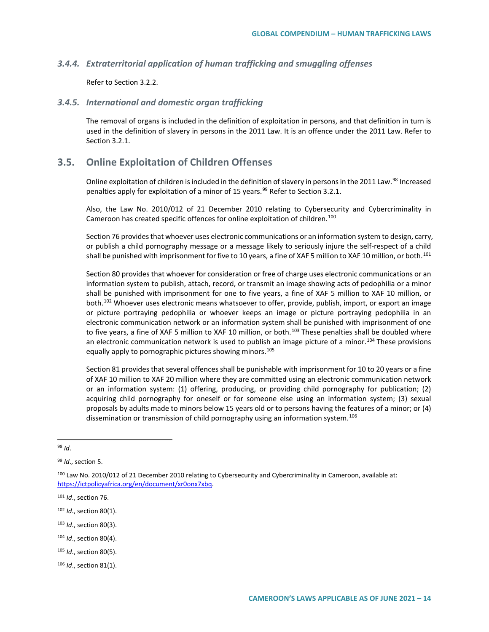#### *3.4.4. Extraterritorial application of human trafficking and smuggling offenses*

Refer to Section 3.2.2.

#### *3.4.5. International and domestic organ trafficking*

The removal of organs is included in the definition of exploitation in persons, and that definition in turn is used in the definition of slavery in persons in the 2011 Law. It is an offence under the 2011 Law. Refer to Section 3.2.1.

## **3.5. Online Exploitation of Children Offenses**

Online exploitation of children is included in the definition of slavery in persons in the 2011 Law.<sup>[98](#page-13-0)</sup> Increased penalties apply for exploitation of a minor of 15 years.<sup>[99](#page-13-1)</sup> Refer to Section 3.2.1.

Also, the Law No. 2010/012 of 21 December 2010 relating to Cybersecurity and Cybercriminality in Cameroon has created specific offences for online exploitation of children.<sup>[100](#page-13-2)</sup>

Section 76 provides that whoever uses electronic communications or an information system to design, carry, or publish a child pornography message or a message likely to seriously injure the self-respect of a child shall be punished with imprisonment for five to 10 years, a fine of XAF 5 million to XAF 10 million, or both.<sup>[101](#page-13-3)</sup>

Section 80 provides that whoever for consideration or free of charge uses electronic communications or an information system to publish, attach, record, or transmit an image showing acts of pedophilia or a minor shall be punished with imprisonment for one to five years, a fine of XAF 5 million to XAF 10 million, or both.<sup>[102](#page-13-4)</sup> Whoever uses electronic means whatsoever to offer, provide, publish, import, or export an image or picture portraying pedophilia or whoever keeps an image or picture portraying pedophilia in an electronic communication network or an information system shall be punished with imprisonment of one to five years, a fine of XAF 5 million to XAF 10 million, or both.<sup>[103](#page-13-5)</sup> These penalties shall be doubled where an electronic communication network is used to publish an image picture of a minor.<sup>[104](#page-13-6)</sup> These provisions equally apply to pornographic pictures showing minors.<sup>[105](#page-13-7)</sup>

Section 81 provides that several offences shall be punishable with imprisonment for 10 to 20 years or a fine of XAF 10 million to XAF 20 million where they are committed using an electronic communication network or an information system: (1) offering, producing, or providing child pornography for publication; (2) acquiring child pornography for oneself or for someone else using an information system; (3) sexual proposals by adults made to minors below 15 years old or to persons having the features of a minor; or (4) dissemination or transmission of child pornography using an information system.<sup>[106](#page-13-8)</sup>

- <span id="page-13-5"></span><sup>103</sup> *Id*., section 80(3).
- <span id="page-13-6"></span><sup>104</sup> *Id*., section 80(4).
- <span id="page-13-7"></span><sup>105</sup> *Id*., section 80(5).

<span id="page-13-0"></span> <sup>98</sup> *Id*.

<span id="page-13-1"></span><sup>99</sup> *Id*., section 5.

<span id="page-13-2"></span><sup>&</sup>lt;sup>100</sup> Law No. 2010/012 of 21 December 2010 relating to Cybersecurity and Cybercriminality in Cameroon, available at: [https://ictpolicyafrica.org/en/document/xr0onx7xbq.](https://ictpolicyafrica.org/en/document/xr0onx7xbq) 

<span id="page-13-3"></span><sup>101</sup> *Id*., section 76.

<span id="page-13-4"></span><sup>102</sup> *Id*., section 80(1).

<span id="page-13-8"></span><sup>106</sup> *Id*., section 81(1).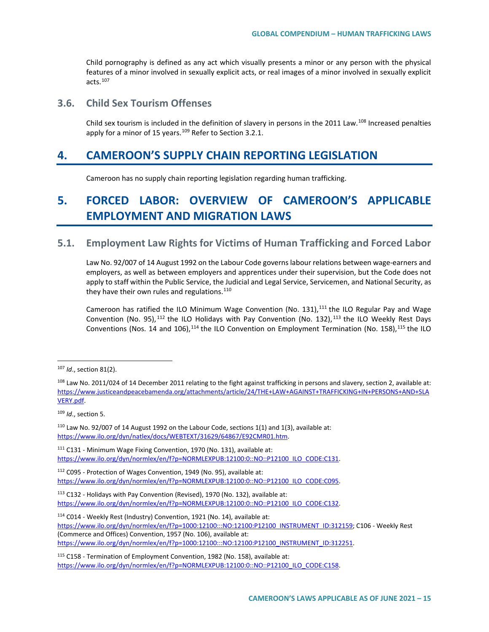Child pornography is defined as any act which visually presents a minor or any person with the physical features of a minor involved in sexually explicit acts, or real images of a minor involved in sexually explicit acts $107$ 

## **3.6. Child Sex Tourism Offenses**

Child sex tourism is included in the definition of slavery in persons in the 2011 Law.<sup>[108](#page-14-1)</sup> Increased penalties apply for a minor of 15 years.<sup>[109](#page-14-2)</sup> Refer to Section 3.2.1.

## **4. CAMEROON'S SUPPLY CHAIN REPORTING LEGISLATION**

Cameroon has no supply chain reporting legislation regarding human trafficking.

# **5. FORCED LABOR: OVERVIEW OF CAMEROON'S APPLICABLE EMPLOYMENT AND MIGRATION LAWS**

## **5.1. Employment Law Rights for Victims of Human Trafficking and Forced Labor**

Law No. 92/007 of 14 August 1992 on the Labour Code governs labour relations between wage-earners and employers, as well as between employers and apprentices under their supervision, but the Code does not apply to staff within the Public Service, the Judicial and Legal Service, Servicemen, and National Security, as they have their own rules and regulations. $110$ 

Cameroon has ratified the ILO Minimum Wage Convention (No. 131),<sup>[111](#page-14-4)</sup> the ILO Regular Pay and Wage Convention (No. 95),  $112$  the ILO Holidays with Pay Convention (No. 132),  $113$  the ILO Weekly Rest Days Conventions (Nos. 14 and 106),  $114$  the ILO Convention on Employment Termination (No. 158),  $115$  the ILO

<span id="page-14-2"></span><sup>109</sup> *Id*., section 5.

<span id="page-14-3"></span> $110$  Law No. 92/007 of 14 August 1992 on the Labour Code, sections 1(1) and 1(3), available at: [https://www.ilo.org/dyn/natlex/docs/WEBTEXT/31629/64867/E92CMR01.htm.](https://www.ilo.org/dyn/natlex/docs/WEBTEXT/31629/64867/E92CMR01.htm)

<span id="page-14-4"></span><sup>111</sup> C131 - Minimum Wage Fixing Convention, 1970 (No. 131), available at: https://www.ilo.org/dyn/normlex/en/f?p=NORMLEXPUB:12100:0::NO::P12100\_ILO\_CODE:C131.

<span id="page-14-5"></span><sup>112</sup> C095 - Protection of Wages Convention, 1949 (No. 95), available at: [https://www.ilo.org/dyn/normlex/en/f?p=NORMLEXPUB:12100:0::NO::P12100\\_ILO\\_CODE:C095.](https://www.ilo.org/dyn/normlex/en/f?p=NORMLEXPUB:12100:0::NO::P12100_ILO_CODE:C095) 

<span id="page-14-6"></span><sup>113</sup> C132 - Holidays with Pay Convention (Revised), 1970 (No. 132), available at: https://www.ilo.org/dyn/normlex/en/f?p=NORMLEXPUB:12100:0::NO::P12100\_ILO\_CODE:C132.

<span id="page-14-7"></span><sup>114</sup> C014 - Weekly Rest (Industry) Convention, 1921 (No. 14), available at: [https://www.ilo.org/dyn/normlex/en/f?p=1000:12100:::NO:12100:P12100\\_INSTRUMENT\\_ID:312159;](https://www.ilo.org/dyn/normlex/en/f?p=1000:12100:::NO:12100:P12100_INSTRUMENT_ID:312159) C106 - Weekly Rest (Commerce and Offices) Convention, 1957 (No. 106), available at: [https://www.ilo.org/dyn/normlex/en/f?p=1000:12100:::NO:12100:P12100\\_INSTRUMENT\\_ID:312251.](https://www.ilo.org/dyn/normlex/en/f?p=1000:12100:::NO:12100:P12100_INSTRUMENT_ID:312251)

<span id="page-14-8"></span><sup>115</sup> C158 - Termination of Employment Convention, 1982 (No. 158), available at: https://www.ilo.org/dyn/normlex/en/f?p=NORMLEXPUB:12100:0::NO::P12100\_ILO\_CODE:C158.

<span id="page-14-0"></span> <sup>107</sup> *Id*., section 81(2).

<span id="page-14-1"></span><sup>&</sup>lt;sup>108</sup> Law No. 2011/024 of 14 December 2011 relating to the fight against trafficking in persons and slavery, section 2, available at: [https://www.justiceandpeacebamenda.org/attachments/article/24/THE+LAW+AGAINST+TRAFFICKING+IN+PERSONS+AND+SLA](https://www.justiceandpeacebamenda.org/attachments/article/24/THE+LAW+AGAINST+TRAFFICKING+IN+PERSONS+AND+SLAVERY.pdf) [VERY.pdf.](https://www.justiceandpeacebamenda.org/attachments/article/24/THE+LAW+AGAINST+TRAFFICKING+IN+PERSONS+AND+SLAVERY.pdf)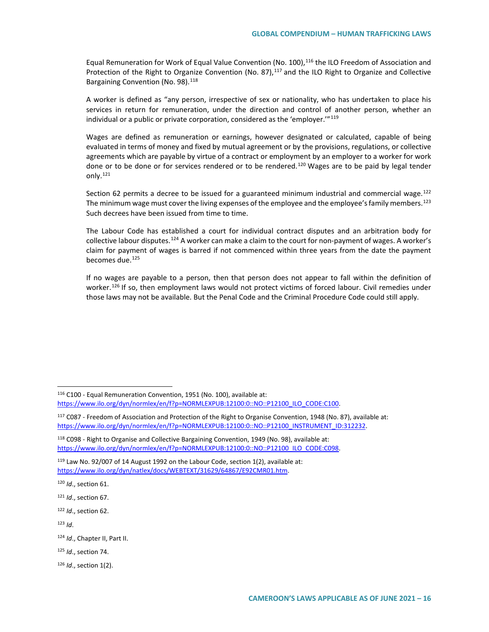Equal Remuneration for Work of Equal Value Convention (No. 100),<sup>[116](#page-15-0)</sup> the ILO Freedom of Association and Protection of the Right to Organize Convention (No. 87),<sup>[117](#page-15-1)</sup> and the ILO Right to Organize and Collective Bargaining Convention (No. 98).<sup>[118](#page-15-2)</sup>

A worker is defined as "any person, irrespective of sex or nationality, who has undertaken to place his services in return for remuneration, under the direction and control of another person, whether an individual or a public or private corporation, considered as the 'employer."<sup>[119](#page-15-3)</sup>

Wages are defined as remuneration or earnings, however designated or calculated, capable of being evaluated in terms of money and fixed by mutual agreement or by the provisions, regulations, or collective agreements which are payable by virtue of a contract or employment by an employer to a worker for work done or to be done or for services rendered or to be rendered.<sup>[120](#page-15-4)</sup> Wages are to be paid by legal tender only.[121](#page-15-5)

Section 62 permits a decree to be issued for a guaranteed minimum industrial and commercial wage.<sup>[122](#page-15-6)</sup> The minimum wage must cover the living expenses of the employee and the employee's family members.<sup>[123](#page-15-7)</sup> Such decrees have been issued from time to time.

The Labour Code has established a court for individual contract disputes and an arbitration body for collective labour disputes.<sup>[124](#page-15-8)</sup> A worker can make a claim to the court for non-payment of wages. A worker's claim for payment of wages is barred if not commenced within three years from the date the payment becomes due.<sup>[125](#page-15-9)</sup>

If no wages are payable to a person, then that person does not appear to fall within the definition of worker.<sup>[126](#page-15-10)</sup> If so, then employment laws would not protect victims of forced labour. Civil remedies under those laws may not be available. But the Penal Code and the Criminal Procedure Code could still apply.

<span id="page-15-3"></span> $119$  Law No. 92/007 of 14 August 1992 on the Labour Code, section 1(2), available at: [https://www.ilo.org/dyn/natlex/docs/WEBTEXT/31629/64867/E92CMR01.htm.](https://www.ilo.org/dyn/natlex/docs/WEBTEXT/31629/64867/E92CMR01.htm)

<span id="page-15-4"></span><sup>120</sup> *Id*., section 61.

<span id="page-15-5"></span><sup>121</sup> *Id*., section 67.

<span id="page-15-6"></span><sup>122</sup> *Id*., section 62.

<span id="page-15-7"></span> $123$  *Id.* 

<span id="page-15-8"></span><sup>124</sup> *Id*., Chapter II, Part II.

<span id="page-15-9"></span><sup>125</sup> *Id*., section 74.

<span id="page-15-10"></span><sup>126</sup> *Id*., section 1(2).

<span id="page-15-0"></span> <sup>116</sup> C100 - Equal Remuneration Convention, 1951 (No. 100), available at: https://www.ilo.org/dyn/normlex/en/f?p=NORMLEXPUB:12100:0::NO::P12100\_ILO\_CODE:C100.

<span id="page-15-1"></span><sup>117</sup> C087 - Freedom of Association and Protection of the Right to Organise Convention, 1948 (No. 87), available at: [https://www.ilo.org/dyn/normlex/en/f?p=NORMLEXPUB:12100:0::NO::P12100\\_INSTRUMENT\\_ID:312232.](https://www.ilo.org/dyn/normlex/en/f?p=NORMLEXPUB:12100:0::NO::P12100_INSTRUMENT_ID:312232)

<span id="page-15-2"></span><sup>118</sup> C098 - Right to Organise and Collective Bargaining Convention, 1949 (No. 98), available at: https://www.ilo.org/dyn/normlex/en/f?p=NORMLEXPUB:12100:0::NO::P12100\_ILO\_CODE:C098.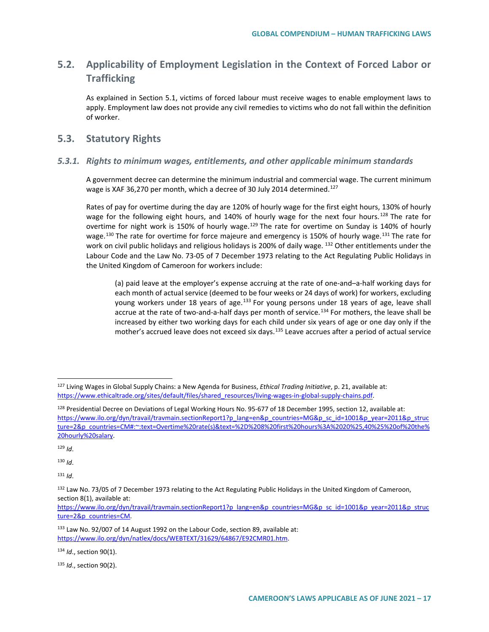## **5.2. Applicability of Employment Legislation in the Context of Forced Labor or Trafficking**

As explained in Section 5.1, victims of forced labour must receive wages to enable employment laws to apply. Employment law does not provide any civil remedies to victims who do not fall within the definition of worker.

## **5.3. Statutory Rights**

#### *5.3.1. Rights to minimum wages, entitlements, and other applicable minimum standards*

A government decree can determine the minimum industrial and commercial wage. The current minimum wage is XAF 36,270 per month, which a decree of 30 July 2014 determined.<sup>[127](#page-16-0)</sup>

Rates of pay for overtime during the day are 120% of hourly wage for the first eight hours, 130% of hourly wage for the following eight hours, and 140% of hourly wage for the next four hours.<sup>[128](#page-16-1)</sup> The rate for overtime for night work is 150% of hourly wage.<sup>[129](#page-16-2)</sup> The rate for overtime on Sunday is 140% of hourly wage.<sup>[130](#page-16-3)</sup> The rate for overtime for force majeure and emergency is 150% of hourly wage.<sup>[131](#page-16-4)</sup> The rate for work on civil public holidays and religious holidays is 200% of daily wage. <sup>[132](#page-16-5)</sup> Other entitlements under the Labour Code and the Law No. 73-05 of 7 December 1973 relating to the Act Regulating Public Holidays in the United Kingdom of Cameroon for workers include:

(a) paid leave at the employer's expense accruing at the rate of one-and–a-half working days for each month of actual service (deemed to be four weeks or 24 days of work) for workers, excluding young workers under 18 years of age.<sup>[133](#page-16-6)</sup> For young persons under 18 years of age, leave shall accrue at the rate of two-and-a-half days per month of service.<sup>[134](#page-16-7)</sup> For mothers, the leave shall be increased by either two working days for each child under six years of age or one day only if the mother's accrued leave does not exceed six days.<sup>[135](#page-16-8)</sup> Leave accrues after a period of actual service

<span id="page-16-2"></span> $129$  *Id.* 

<span id="page-16-3"></span><sup>130</sup> *Id*.

<span id="page-16-4"></span> $131$  *Id.* 

<span id="page-16-7"></span><sup>134</sup> *Id*., section 90(1).

<span id="page-16-8"></span><sup>135</sup> *Id*., section 90(2).

<span id="page-16-0"></span> <sup>127</sup> Living Wages in Global Supply Chains: a New Agenda for Business, *Ethical Trading Initiative*, p. 21, available at: [https://www.ethicaltrade.org/sites/default/files/shared\\_resources/living-wages-in-global-supply-chains.pdf.](https://www.ethicaltrade.org/sites/default/files/shared_resources/living-wages-in-global-supply-chains.pdf)

<span id="page-16-1"></span><sup>&</sup>lt;sup>128</sup> Presidential Decree on Deviations of Legal Working Hours No. 95-677 of 18 December 1995, section 12, available at: [https://www.ilo.org/dyn/travail/travmain.sectionReport1?p\\_lang=en&p\\_countries=MG&p\\_sc\\_id=1001&p\\_year=2011&p\\_struc](https://www.ilo.org/dyn/travail/travmain.sectionReport1?p_lang=en&p_countries=MG&p_sc_id=1001&p_year=2011&p_structure=2&p_countries=CM#:%7E:text=Overtime%20rate(s)&text=%2D%208%20first%20hours%3A%2020%25,40%25%20of%20the%20hourly%20salary) [ture=2&p\\_countries=CM#:~:text=Overtime%20rate\(s\)&text=%2D%208%20first%20hours%3A%2020%25,40%25%20of%20the%](https://www.ilo.org/dyn/travail/travmain.sectionReport1?p_lang=en&p_countries=MG&p_sc_id=1001&p_year=2011&p_structure=2&p_countries=CM#:%7E:text=Overtime%20rate(s)&text=%2D%208%20first%20hours%3A%2020%25,40%25%20of%20the%20hourly%20salary) [20hourly%20salary.](https://www.ilo.org/dyn/travail/travmain.sectionReport1?p_lang=en&p_countries=MG&p_sc_id=1001&p_year=2011&p_structure=2&p_countries=CM#:%7E:text=Overtime%20rate(s)&text=%2D%208%20first%20hours%3A%2020%25,40%25%20of%20the%20hourly%20salary) 

<span id="page-16-5"></span><sup>132</sup> Law No. 73/05 of 7 December 1973 relating to the Act Regulating Public Holidays in the United Kingdom of Cameroon, section 8(1), available at:

[https://www.ilo.org/dyn/travail/travmain.sectionReport1?p\\_lang=en&p\\_countries=MG&p\\_sc\\_id=1001&p\\_year=2011&p\\_struc](https://www.ilo.org/dyn/travail/travmain.sectionReport1?p_lang=en&p_countries=MG&p_sc_id=1001&p_year=2011&p_structure=2&p_countries=CM) [ture=2&p\\_countries=CM.](https://www.ilo.org/dyn/travail/travmain.sectionReport1?p_lang=en&p_countries=MG&p_sc_id=1001&p_year=2011&p_structure=2&p_countries=CM)

<span id="page-16-6"></span><sup>133</sup> Law No. 92/007 of 14 August 1992 on the Labour Code, section 89, available at: [https://www.ilo.org/dyn/natlex/docs/WEBTEXT/31629/64867/E92CMR01.htm.](https://www.ilo.org/dyn/natlex/docs/WEBTEXT/31629/64867/E92CMR01.htm)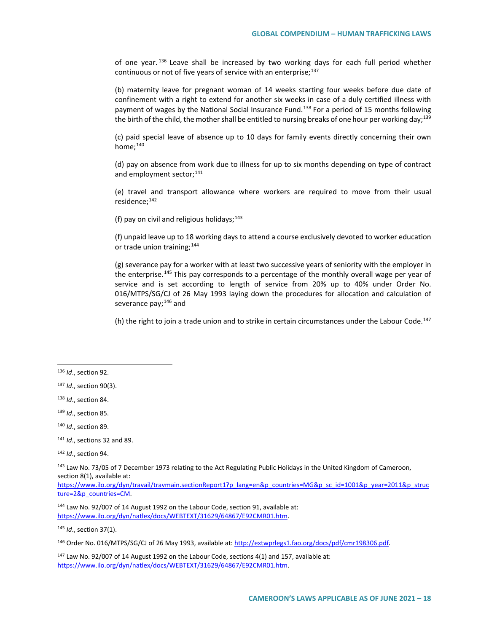of one year.<sup>[136](#page-17-0)</sup> Leave shall be increased by two working days for each full period whether continuous or not of five years of service with an enterprise;<sup>137</sup>

(b) maternity leave for pregnant woman of 14 weeks starting four weeks before due date of confinement with a right to extend for another six weeks in case of a duly certified illness with payment of wages by the National Social Insurance Fund.<sup>[138](#page-17-2)</sup> For a period of 15 months following the birth of the child, the mother shall be entitled to nursing breaks of one hour per working day;<sup>[139](#page-17-3)</sup>

(c) paid special leave of absence up to 10 days for family events directly concerning their own home; $140$ 

(d) pay on absence from work due to illness for up to six months depending on type of contract and employment sector;<sup>[141](#page-17-5)</sup>

(e) travel and transport allowance where workers are required to move from their usual residence;<sup>[142](#page-17-6)</sup>

(f) pay on civil and religious holidays;  $143$ 

(f) unpaid leave up to 18 working days to attend a course exclusively devoted to worker education or trade union training;<sup>[144](#page-17-8)</sup>

(g) severance pay for a worker with at least two successive years of seniority with the employer in the enterprise.<sup>[145](#page-17-9)</sup> This pay corresponds to a percentage of the monthly overall wage per year of service and is set according to length of service from 20% up to 40% under Order No. 016/MTPS/SG/CJ of 26 May 1993 laying down the procedures for allocation and calculation of severance pay;<sup>[146](#page-17-10)</sup> and

(h) the right to join a trade union and to strike in certain circumstances under the Labour Code.<sup>[147](#page-17-11)</sup>

<span id="page-17-7"></span><sup>143</sup> Law No. 73/05 of 7 December 1973 relating to the Act Regulating Public Holidays in the United Kingdom of Cameroon, section 8(1), available at:

[https://www.ilo.org/dyn/travail/travmain.sectionReport1?p\\_lang=en&p\\_countries=MG&p\\_sc\\_id=1001&p\\_year=2011&p\\_struc](https://www.ilo.org/dyn/travail/travmain.sectionReport1?p_lang=en&p_countries=MG&p_sc_id=1001&p_year=2011&p_structure=2&p_countries=CM) [ture=2&p\\_countries=CM.](https://www.ilo.org/dyn/travail/travmain.sectionReport1?p_lang=en&p_countries=MG&p_sc_id=1001&p_year=2011&p_structure=2&p_countries=CM)

<span id="page-17-8"></span><sup>144</sup> Law No. 92/007 of 14 August 1992 on the Labour Code, section 91, available at: [https://www.ilo.org/dyn/natlex/docs/WEBTEXT/31629/64867/E92CMR01.htm.](https://www.ilo.org/dyn/natlex/docs/WEBTEXT/31629/64867/E92CMR01.htm)

<span id="page-17-9"></span><sup>145</sup> *Id*., section 37(1).

<span id="page-17-10"></span><sup>146</sup> Order No. 016/MTPS/SG/CJ of 26 May 1993, available at[: http://extwprlegs1.fao.org/docs/pdf/cmr198306.pdf.](http://extwprlegs1.fao.org/docs/pdf/cmr198306.pdf)

<span id="page-17-11"></span> $147$  Law No. 92/007 of 14 August 1992 on the Labour Code, sections 4(1) and 157, available at: [https://www.ilo.org/dyn/natlex/docs/WEBTEXT/31629/64867/E92CMR01.htm.](https://www.ilo.org/dyn/natlex/docs/WEBTEXT/31629/64867/E92CMR01.htm)

<span id="page-17-0"></span> <sup>136</sup> *Id*., section 92.

<span id="page-17-1"></span><sup>137</sup> *Id*., section 90(3).

<span id="page-17-2"></span><sup>138</sup> *Id*., section 84.

<span id="page-17-3"></span><sup>139</sup> *Id*., section 85.

<span id="page-17-4"></span><sup>140</sup> *Id*., section 89.

<span id="page-17-5"></span><sup>141</sup> *Id*., sections 32 and 89.

<span id="page-17-6"></span><sup>142</sup> *Id*., section 94.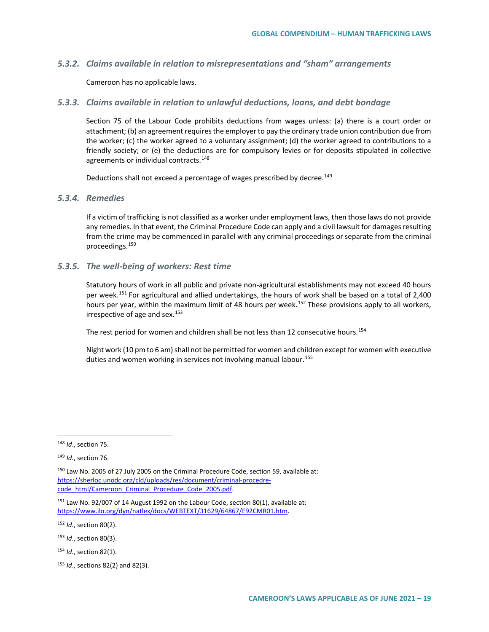#### *5.3.2. Claims available in relation to misrepresentations and "sham" arrangements*

Cameroon has no applicable laws.

#### *5.3.3. Claims available in relation to unlawful deductions, loans, and debt bondage*

Section 75 of the Labour Code prohibits deductions from wages unless: (a) there is a court order or attachment; (b) an agreement requires the employer to pay the ordinary trade union contribution due from the worker; (c) the worker agreed to a voluntary assignment; (d) the worker agreed to contributions to a friendly society; or (e) the deductions are for compulsory levies or for deposits stipulated in collective agreements or individual contracts.<sup>[148](#page-18-0)</sup>

Deductions shall not exceed a percentage of wages prescribed by decree.<sup>[149](#page-18-1)</sup>

#### *5.3.4. Remedies*

If a victim of trafficking is not classified as a worker under employment laws, then those laws do not provide any remedies. In that event, the Criminal Procedure Code can apply and a civil lawsuit for damages resulting from the crime may be commenced in parallel with any criminal proceedings or separate from the criminal proceedings.[150](#page-18-2)

#### *5.3.5. The well-being of workers: Rest time*

Statutory hours of work in all public and private non-agricultural establishments may not exceed 40 hours per week.<sup>[151](#page-18-3)</sup> For agricultural and allied undertakings, the hours of work shall be based on a total of 2,400 hours per year, within the maximum limit of 48 hours per week.<sup>[152](#page-18-4)</sup> These provisions apply to all workers, irrespective of age and sex.<sup>[153](#page-18-5)</sup>

The rest period for women and children shall be not less than 12 consecutive hours.<sup>[154](#page-18-6)</sup>

Night work (10 pm to 6 am) shall not be permitted for women and children except for women with executive duties and women working in services not involving manual labour.<sup>[155](#page-18-7)</sup>

<span id="page-18-4"></span><sup>152</sup> *Id*., section 80(2).

<span id="page-18-0"></span> <sup>148</sup> *Id*., section 75.

<span id="page-18-1"></span><sup>149</sup> *Id*., section 76.

<span id="page-18-2"></span><sup>&</sup>lt;sup>150</sup> Law No. 2005 of 27 July 2005 on the Criminal Procedure Code, section 59, available at: [https://sherloc.unodc.org/cld/uploads/res/document/criminal-procedre](https://sherloc.unodc.org/cld/uploads/res/document/criminal-procedre-code_html/Cameroon_Criminal_Procedure_Code_2005.pdf)[code\\_html/Cameroon\\_Criminal\\_Procedure\\_Code\\_2005.pdf.](https://sherloc.unodc.org/cld/uploads/res/document/criminal-procedre-code_html/Cameroon_Criminal_Procedure_Code_2005.pdf)

<span id="page-18-3"></span> $151$  Law No. 92/007 of 14 August 1992 on the Labour Code, section 80(1), available at: [https://www.ilo.org/dyn/natlex/docs/WEBTEXT/31629/64867/E92CMR01.htm.](https://www.ilo.org/dyn/natlex/docs/WEBTEXT/31629/64867/E92CMR01.htm)

<span id="page-18-5"></span><sup>153</sup> *Id*., section 80(3).

<span id="page-18-6"></span><sup>154</sup> *Id*., section 82(1).

<span id="page-18-7"></span><sup>155</sup> *Id*., sections 82(2) and 82(3).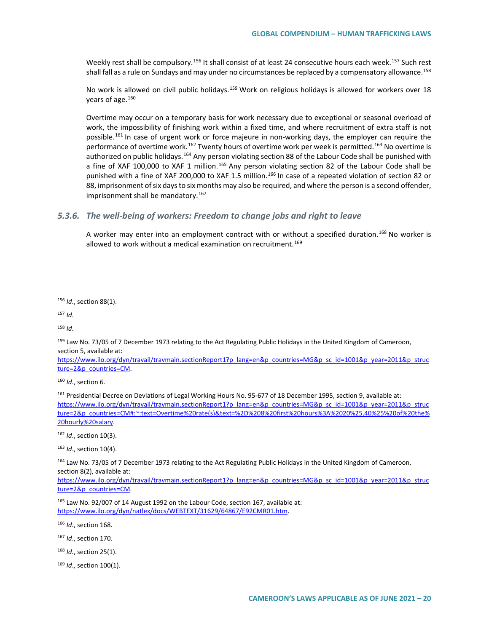Weekly rest shall be compulsory.<sup>[156](#page-19-0)</sup> It shall consist of at least 24 consecutive hours each week.<sup>[157](#page-19-1)</sup> Such rest shall fall as a rule on Sundays and may under no circumstances be replaced by a compensatory allowance.<sup>[158](#page-19-2)</sup>

No work is allowed on civil public holidays.<sup>[159](#page-19-3)</sup> Work on religious holidays is allowed for workers over 18 years of age.[160](#page-19-4)

Overtime may occur on a temporary basis for work necessary due to exceptional or seasonal overload of work, the impossibility of finishing work within a fixed time, and where recruitment of extra staff is not possible.<sup>[161](#page-19-5)</sup> In case of urgent work or force majeure in non-working days, the employer can require the performance of overtime work.<sup>[162](#page-19-6)</sup> Twenty hours of overtime work per week is permitted.<sup>[163](#page-19-7)</sup> No overtime is authorized on public holidays.<sup>[164](#page-19-8)</sup> Any person violating section 88 of the Labour Code shall be punished with a fine of XAF 100,000 to XAF 1 million.<sup>[165](#page-19-9)</sup> Any person violating section 82 of the Labour Code shall be punished with a fine of XAF 200,000 to XAF 1.5 million.<sup>[166](#page-19-10)</sup> In case of a repeated violation of section 82 or 88, imprisonment of six days to six months may also be required, and where the person is a second offender, imprisonment shall be mandatory.<sup>[167](#page-19-11)</sup>

### *5.3.6. The well-being of workers: Freedom to change jobs and right to leave*

A worker may enter into an employment contract with or without a specified duration.<sup>[168](#page-19-12)</sup> No worker is allowed to work without a medical examination on recruitment.<sup>[169](#page-19-13)</sup>

<span id="page-19-0"></span>156 *Id*., section 88(1).

<span id="page-19-1"></span><sup>157</sup> *Id*.

<span id="page-19-2"></span><sup>158</sup> *Id*.

<span id="page-19-3"></span><sup>159</sup> Law No. 73/05 of 7 December 1973 relating to the Act Regulating Public Holidays in the United Kingdom of Cameroon, section 5, available at:

[https://www.ilo.org/dyn/travail/travmain.sectionReport1?p\\_lang=en&p\\_countries=MG&p\\_sc\\_id=1001&p\\_year=2011&p\\_struc](https://www.ilo.org/dyn/travail/travmain.sectionReport1?p_lang=en&p_countries=MG&p_sc_id=1001&p_year=2011&p_structure=2&p_countries=CM) [ture=2&p\\_countries=CM.](https://www.ilo.org/dyn/travail/travmain.sectionReport1?p_lang=en&p_countries=MG&p_sc_id=1001&p_year=2011&p_structure=2&p_countries=CM)

<span id="page-19-4"></span><sup>160</sup> *Id*., section 6.

<span id="page-19-5"></span>161 Presidential Decree on Deviations of Legal Working Hours No. 95-677 of 18 December 1995, section 9, available at: [https://www.ilo.org/dyn/travail/travmain.sectionReport1?p\\_lang=en&p\\_countries=MG&p\\_sc\\_id=1001&p\\_year=2011&p\\_struc](https://www.ilo.org/dyn/travail/travmain.sectionReport1?p_lang=en&p_countries=MG&p_sc_id=1001&p_year=2011&p_structure=2&p_countries=CM#:%7E:text=Overtime%20rate(s)&text=%2D%208%20first%20hours%3A%2020%25,40%25%20of%20the%20hourly%20salary) [ture=2&p\\_countries=CM#:~:text=Overtime%20rate\(s\)&text=%2D%208%20first%20hours%3A%2020%25,40%25%20of%20the%](https://www.ilo.org/dyn/travail/travmain.sectionReport1?p_lang=en&p_countries=MG&p_sc_id=1001&p_year=2011&p_structure=2&p_countries=CM#:%7E:text=Overtime%20rate(s)&text=%2D%208%20first%20hours%3A%2020%25,40%25%20of%20the%20hourly%20salary) [20hourly%20salary.](https://www.ilo.org/dyn/travail/travmain.sectionReport1?p_lang=en&p_countries=MG&p_sc_id=1001&p_year=2011&p_structure=2&p_countries=CM#:%7E:text=Overtime%20rate(s)&text=%2D%208%20first%20hours%3A%2020%25,40%25%20of%20the%20hourly%20salary)

<span id="page-19-6"></span><sup>162</sup> *Id*., section 10(3).

<span id="page-19-7"></span><sup>163</sup> *Id*., section 10(4).

<span id="page-19-8"></span>164 Law No. 73/05 of 7 December 1973 relating to the Act Regulating Public Holidays in the United Kingdom of Cameroon, section 8(2), available at:

[https://www.ilo.org/dyn/travail/travmain.sectionReport1?p\\_lang=en&p\\_countries=MG&p\\_sc\\_id=1001&p\\_year=2011&p\\_struc](https://www.ilo.org/dyn/travail/travmain.sectionReport1?p_lang=en&p_countries=MG&p_sc_id=1001&p_year=2011&p_structure=2&p_countries=CM) [ture=2&p\\_countries=CM.](https://www.ilo.org/dyn/travail/travmain.sectionReport1?p_lang=en&p_countries=MG&p_sc_id=1001&p_year=2011&p_structure=2&p_countries=CM)

<span id="page-19-10"></span><sup>166</sup> *Id*., section 168.

<span id="page-19-11"></span><sup>167</sup> *Id*., section 170.

<span id="page-19-12"></span><sup>168</sup> *Id*., section 25(1).

<span id="page-19-13"></span><sup>169</sup> *Id*., section 100(1).

<span id="page-19-9"></span><sup>&</sup>lt;sup>165</sup> Law No. 92/007 of 14 August 1992 on the Labour Code, section 167, available at: [https://www.ilo.org/dyn/natlex/docs/WEBTEXT/31629/64867/E92CMR01.htm.](https://www.ilo.org/dyn/natlex/docs/WEBTEXT/31629/64867/E92CMR01.htm)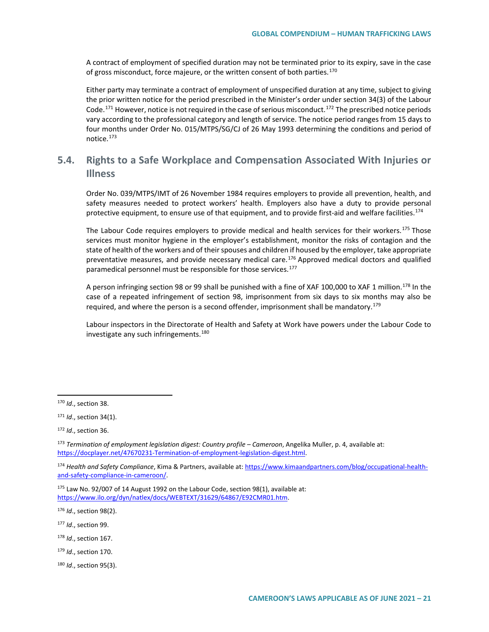A contract of employment of specified duration may not be terminated prior to its expiry, save in the case of gross misconduct, force majeure, or the written consent of both parties.<sup>[170](#page-20-0)</sup>

Either party may terminate a contract of employment of unspecified duration at any time, subject to giving the prior written notice for the period prescribed in the Minister's order under section 34(3) of the Labour Code.<sup>[171](#page-20-1)</sup> However, notice is not required in the case of serious misconduct.<sup>[172](#page-20-2)</sup> The prescribed notice periods vary according to the professional category and length of service. The notice period ranges from 15 days to four months under Order No. 015/MTPS/SG/CJ of 26 May 1993 determining the conditions and period of notice.[173](#page-20-3)

## **5.4. Rights to a Safe Workplace and Compensation Associated With Injuries or Illness**

Order No. 039/MTPS/IMT of 26 November 1984 requires employers to provide all prevention, health, and safety measures needed to protect workers' health. Employers also have a duty to provide personal protective equipment, to ensure use of that equipment, and to provide first-aid and welfare facilities.<sup>[174](#page-20-4)</sup>

The Labour Code requires employers to provide medical and health services for their workers.<sup>[175](#page-20-5)</sup> Those services must monitor hygiene in the employer's establishment, monitor the risks of contagion and the state of health of the workers and of their spouses and children if housed by the employer, take appropriate preventative measures, and provide necessary medical care.<sup>[176](#page-20-6)</sup> Approved medical doctors and qualified paramedical personnel must be responsible for those services.<sup>[177](#page-20-7)</sup>

A person infringing section 98 or 99 shall be punished with a fine of XAF 100,000 to XAF 1 million.<sup>[178](#page-20-8)</sup> In the case of a repeated infringement of section 98, imprisonment from six days to six months may also be required, and where the person is a second offender, imprisonment shall be mandatory.<sup>[179](#page-20-9)</sup>

Labour inspectors in the Directorate of Health and Safety at Work have powers under the Labour Code to investigate any such infringements.<sup>[180](#page-20-10)</sup>

- <span id="page-20-7"></span><sup>177</sup> *Id*., section 99.
- <span id="page-20-8"></span><sup>178</sup> *Id*., section 167.
- <span id="page-20-9"></span><sup>179</sup> *Id*., section 170.
- <span id="page-20-10"></span><sup>180</sup> *Id*., section 95(3).

<span id="page-20-0"></span> <sup>170</sup> *Id*., section 38.

<span id="page-20-1"></span><sup>171</sup> *Id*., section 34(1).

<span id="page-20-2"></span><sup>172</sup> *Id*., section 36.

<span id="page-20-3"></span><sup>173</sup> *Termination of employment legislation digest: Country profile – Cameroon*, Angelika Muller, p. 4, available at: [https://docplayer.net/47670231-Termination-of-employment-legislation-digest.html.](https://docplayer.net/47670231-Termination-of-employment-legislation-digest.html) 

<span id="page-20-4"></span><sup>174</sup> *Health and Safety Compliance*, Kima & Partners, available at: [https://www.kimaandpartners.com/blog/occupational-health](https://www.kimaandpartners.com/blog/occupational-health-and-safety-compliance-in-cameroon/)[and-safety-compliance-in-cameroon/.](https://www.kimaandpartners.com/blog/occupational-health-and-safety-compliance-in-cameroon/) 

<span id="page-20-5"></span> $175$  Law No. 92/007 of 14 August 1992 on the Labour Code, section 98(1), available at: [https://www.ilo.org/dyn/natlex/docs/WEBTEXT/31629/64867/E92CMR01.htm.](https://www.ilo.org/dyn/natlex/docs/WEBTEXT/31629/64867/E92CMR01.htm)

<span id="page-20-6"></span><sup>176</sup> *Id*., section 98(2).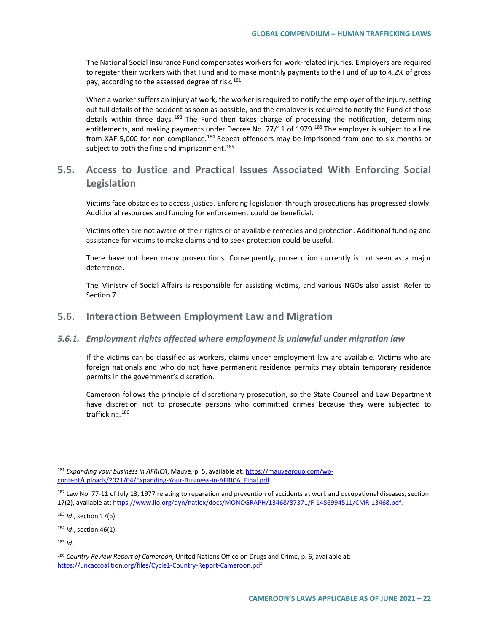The National Social Insurance Fund compensates workers for work-related injuries. Employers are required to register their workers with that Fund and to make monthly payments to the Fund of up to 4.2% of gross pay, according to the assessed degree of risk.<sup>[181](#page-21-0)</sup>

When a worker suffers an injury at work, the worker is required to notify the employer of the injury, setting out full details of the accident as soon as possible, and the employer is required to notify the Fund of those details within three days.<sup>[182](#page-21-1)</sup> The Fund then takes charge of processing the notification, determining entitlements, and making payments under Decree No. 77/11 of 1979.<sup>[183](#page-21-2)</sup> The employer is subject to a fine from XAF 5,000 for non-compliance[.184](#page-21-3) Repeat offenders may be imprisoned from one to six months or subject to both the fine and imprisonment.<sup>[185](#page-21-4)</sup>

## **5.5. Access to Justice and Practical Issues Associated With Enforcing Social Legislation**

Victims face obstacles to access justice. Enforcing legislation through prosecutions has progressed slowly. Additional resources and funding for enforcement could be beneficial.

Victims often are not aware of their rights or of available remedies and protection. Additional funding and assistance for victims to make claims and to seek protection could be useful.

There have not been many prosecutions. Consequently, prosecution currently is not seen as a major deterrence.

The Ministry of Social Affairs is responsible for assisting victims, and various NGOs also assist. Refer to Section 7.

## **5.6. Interaction Between Employment Law and Migration**

#### *5.6.1. Employment rights affected where employment is unlawful under migration law*

If the victims can be classified as workers, claims under employment law are available. Victims who are foreign nationals and who do not have permanent residence permits may obtain temporary residence permits in the government's discretion.

Cameroon follows the principle of discretionary prosecution, so the State Counsel and Law Department have discretion not to prosecute persons who committed crimes because they were subjected to trafficking.<sup>[186](#page-21-5)</sup>

<span id="page-21-0"></span> <sup>181</sup> *Expanding your business in AFRICA*, Mauve, p. 5, available at[: https://mauvegroup.com/wp](https://mauvegroup.com/wp-content/uploads/2021/04/Expanding-Your-Business-in-AFRICA_Final.pdf)[content/uploads/2021/04/Expanding-Your-Business-in-AFRICA\\_Final.pdf.](https://mauvegroup.com/wp-content/uploads/2021/04/Expanding-Your-Business-in-AFRICA_Final.pdf) 

<span id="page-21-1"></span><sup>182</sup> Law No. 77-11 of July 13, 1977 relating to reparation and prevention of accidents at work and occupational diseases, section 17(2), available at[: https://www.ilo.org/dyn/natlex/docs/MONOGRAPH/13468/87371/F-1486994511/CMR-13468.pdf.](https://www.ilo.org/dyn/natlex/docs/MONOGRAPH/13468/87371/F-1486994511/CMR-13468.pdf) 

<span id="page-21-2"></span><sup>183</sup> *Id*., section 17(6).

<span id="page-21-3"></span><sup>184</sup> *Id*., section 46(1).

<span id="page-21-4"></span> $185$  *Id.* 

<span id="page-21-5"></span><sup>186</sup> *Country Review Report of Cameroon*, United Nations Office on Drugs and Crime, p. 6, available at: [https://uncaccoalition.org/files/Cycle1-Country-Report-Cameroon.pdf.](https://uncaccoalition.org/files/Cycle1-Country-Report-Cameroon.pdf)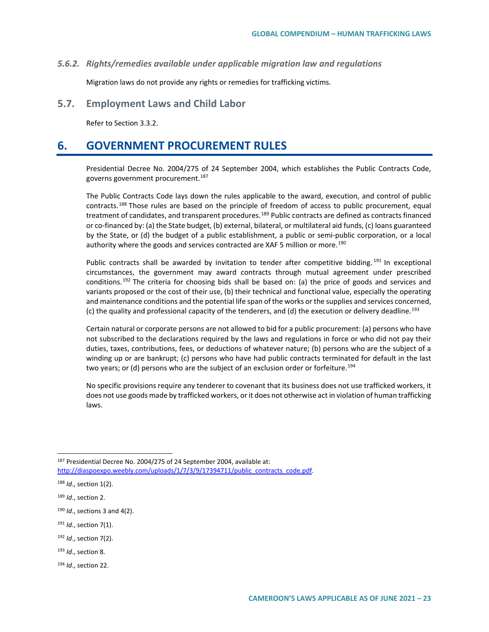#### *5.6.2. Rights/remedies available under applicable migration law and regulations*

Migration laws do not provide any rights or remedies for trafficking victims.

#### **5.7. Employment Laws and Child Labor**

Refer to Section 3.3.2.

## **6. GOVERNMENT PROCUREMENT RULES**

Presidential Decree No. 2004/275 of 24 September 2004, which establishes the Public Contracts Code, governs government procurement.<sup>[187](#page-22-0)</sup>

The Public Contracts Code lays down the rules applicable to the award, execution, and control of public contracts.<sup>[188](#page-22-1)</sup> Those rules are based on the principle of freedom of access to public procurement, equal treatment of candidates, and transparent procedures.<sup>[189](#page-22-2)</sup> Public contracts are defined as contracts financed or co-financed by: (a) the State budget, (b) external, bilateral, or multilateral aid funds, (c) loans guaranteed by the State, or (d) the budget of a public establishment, a public or semi-public corporation, or a local authority where the goods and services contracted are XAF 5 million or more.<sup>[190](#page-22-3)</sup>

Public contracts shall be awarded by invitation to tender after competitive bidding.<sup>[191](#page-22-4)</sup> In exceptional circumstances, the government may award contracts through mutual agreement under prescribed conditions.<sup>[192](#page-22-5)</sup> The criteria for choosing bids shall be based on: (a) the price of goods and services and variants proposed or the cost of their use, (b) their technical and functional value, especially the operating and maintenance conditions and the potential life span of the works or the supplies and services concerned, (c) the quality and professional capacity of the tenderers, and (d) the execution or delivery deadline.[193](#page-22-6)

Certain natural or corporate persons are not allowed to bid for a public procurement: (a) persons who have not subscribed to the declarations required by the laws and regulations in force or who did not pay their duties, taxes, contributions, fees, or deductions of whatever nature; (b) persons who are the subject of a winding up or are bankrupt; (c) persons who have had public contracts terminated for default in the last two years; or (d) persons who are the subject of an exclusion order or forfeiture.<sup>[194](#page-22-7)</sup>

No specific provisions require any tenderer to covenant that its business does not use trafficked workers, it does not use goods made by trafficked workers, or it does not otherwise act in violation of human trafficking laws.

- <span id="page-22-4"></span><sup>191</sup> *Id*., section 7(1).
- <span id="page-22-5"></span><sup>192</sup> *Id*., section 7(2).
- <span id="page-22-6"></span><sup>193</sup> *Id*., section 8.
- <span id="page-22-7"></span><sup>194</sup> *Id*., section 22.

<span id="page-22-0"></span> <sup>187</sup> Presidential Decree No. 2004/275 of 24 September 2004, available at:

http://diaspoexpo.weebly.com/uploads/1/7/3/9/17394711/public\_contracts\_code.pdf.

<span id="page-22-1"></span><sup>188</sup> *Id*., section 1(2).

<span id="page-22-2"></span><sup>189</sup> *Id*., section 2.

<span id="page-22-3"></span><sup>190</sup> *Id*., sections 3 and 4(2).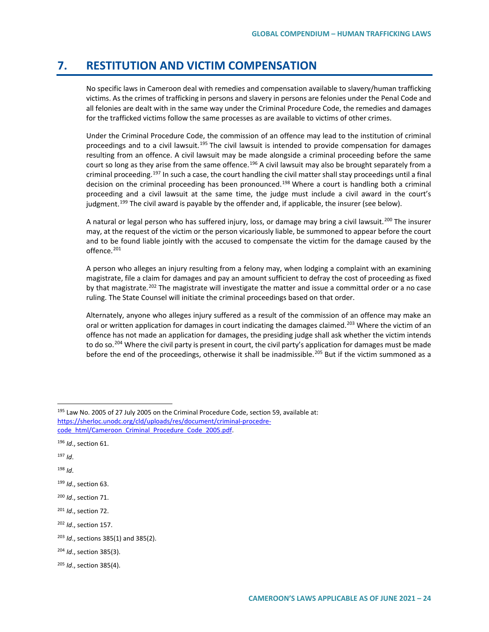## **7. RESTITUTION AND VICTIM COMPENSATION**

No specific laws in Cameroon deal with remedies and compensation available to slavery/human trafficking victims. As the crimes of trafficking in persons and slavery in persons are felonies under the Penal Code and all felonies are dealt with in the same way under the Criminal Procedure Code, the remedies and damages for the trafficked victims follow the same processes as are available to victims of other crimes.

Under the Criminal Procedure Code, the commission of an offence may lead to the institution of criminal proceedings and to a civil lawsuit.<sup>[195](#page-23-0)</sup> The civil lawsuit is intended to provide compensation for damages resulting from an offence. A civil lawsuit may be made alongside a criminal proceeding before the same court so long as they arise from the same offence.<sup>[196](#page-23-1)</sup> A civil lawsuit may also be brought separately from a criminal proceeding.<sup>197</sup> In such a case, the court handling the civil matter shall stay proceedings until a final decision on the criminal proceeding has been pronounced.<sup>[198](#page-23-3)</sup> Where a court is handling both a criminal proceeding and a civil lawsuit at the same time, the judge must include a civil award in the court's judgment.<sup>[199](#page-23-4)</sup> The civil award is payable by the offender and, if applicable, the insurer (see below).

A natural or legal person who has suffered injury, loss, or damage may bring a civil lawsuit.<sup>[200](#page-23-5)</sup> The insurer may, at the request of the victim or the person vicariously liable, be summoned to appear before the court and to be found liable jointly with the accused to compensate the victim for the damage caused by the offence.<sup>[201](#page-23-6)</sup>

A person who alleges an injury resulting from a felony may, when lodging a complaint with an examining magistrate, file a claim for damages and pay an amount sufficient to defray the cost of proceeding as fixed by that magistrate.<sup>[202](#page-23-7)</sup> The magistrate will investigate the matter and issue a committal order or a no case ruling. The State Counsel will initiate the criminal proceedings based on that order.

Alternately, anyone who alleges injury suffered as a result of the commission of an offence may make an oral or written application for damages in court indicating the damages claimed.<sup>[203](#page-23-8)</sup> Where the victim of an offence has not made an application for damages, the presiding judge shall ask whether the victim intends to do so.<sup>[204](#page-23-9)</sup> Where the civil party is present in court, the civil party's application for damages must be made before the end of the proceedings, otherwise it shall be inadmissible.<sup>[205](#page-23-10)</sup> But if the victim summoned as a

<span id="page-23-2"></span><sup>197</sup> *Id*.

<span id="page-23-3"></span><sup>198</sup> *Id*.

<span id="page-23-0"></span><sup>195</sup> Law No. 2005 of 27 July 2005 on the Criminal Procedure Code, section 59, available at: [https://sherloc.unodc.org/cld/uploads/res/document/criminal-procedre](https://sherloc.unodc.org/cld/uploads/res/document/criminal-procedre-code_html/Cameroon_Criminal_Procedure_Code_2005.pdf)[code\\_html/Cameroon\\_Criminal\\_Procedure\\_Code\\_2005.pdf.](https://sherloc.unodc.org/cld/uploads/res/document/criminal-procedre-code_html/Cameroon_Criminal_Procedure_Code_2005.pdf)

<span id="page-23-1"></span><sup>196</sup> *Id*., section 61.

<span id="page-23-4"></span><sup>199</sup> *Id*., section 63.

<span id="page-23-5"></span><sup>200</sup> *Id*., section 71.

<span id="page-23-6"></span><sup>201</sup> *Id*., section 72.

<span id="page-23-7"></span><sup>202</sup> *Id*., section 157.

<span id="page-23-8"></span><sup>203</sup> *Id*., sections 385(1) and 385(2).

<span id="page-23-9"></span><sup>204</sup> *Id*., section 385(3).

<span id="page-23-10"></span><sup>205</sup> *Id*., section 385(4).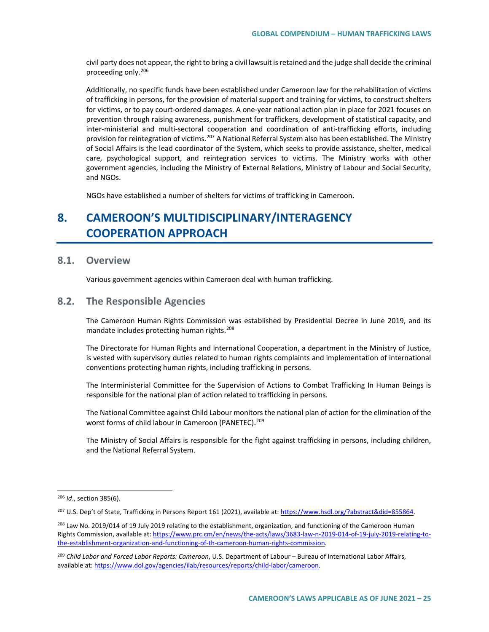civil party does not appear, the right to bring a civil lawsuit is retained and the judge shall decide the criminal proceeding only.[206](#page-24-0)

Additionally, no specific funds have been established under Cameroon law for the rehabilitation of victims of trafficking in persons, for the provision of material support and training for victims, to construct shelters for victims, or to pay court-ordered damages. A one-year national action plan in place for 2021 focuses on prevention through raising awareness, punishment for traffickers, development of statistical capacity, and inter-ministerial and multi-sectoral cooperation and coordination of anti-trafficking efforts, including provision for reintegration of victims.<sup>[207](#page-24-1)</sup> A National Referral System also has been established. The Ministry of Social Affairs is the lead coordinator of the System, which seeks to provide assistance, shelter, medical care, psychological support, and reintegration services to victims. The Ministry works with other government agencies, including the Ministry of External Relations, Ministry of Labour and Social Security, and NGOs.

NGOs have established a number of shelters for victims of trafficking in Cameroon.

# **8. CAMEROON'S MULTIDISCIPLINARY/INTERAGENCY COOPERATION APPROACH**

## **8.1. Overview**

Various government agencies within Cameroon deal with human trafficking.

## **8.2. The Responsible Agencies**

The Cameroon Human Rights Commission was established by Presidential Decree in June 2019, and its mandate includes protecting human rights.<sup>[208](#page-24-2)</sup>

The Directorate for Human Rights and International Cooperation, a department in the Ministry of Justice, is vested with supervisory duties related to human rights complaints and implementation of international conventions protecting human rights, including trafficking in persons.

The Interministerial Committee for the Supervision of Actions to Combat Trafficking In Human Beings is responsible for the national plan of action related to trafficking in persons.

The National Committee against Child Labour monitors the national plan of action for the elimination of the worst forms of child labour in Cameroon (PANETEC).<sup>[209](#page-24-3)</sup>

The Ministry of Social Affairs is responsible for the fight against trafficking in persons, including children, and the National Referral System.

<span id="page-24-0"></span> <sup>206</sup> *Id*., section 385(6).

<span id="page-24-1"></span><sup>207</sup> U.S. Dep't of State, Trafficking in Persons Report 161 (2021), available at[: https://www.hsdl.org/?abstract&did=855864.](https://www.hsdl.org/?abstract&did=855864)

<span id="page-24-2"></span><sup>&</sup>lt;sup>208</sup> Law No. 2019/014 of 19 July 2019 relating to the establishment, organization, and functioning of the Cameroon Human Rights Commission, available at[: https://www.prc.cm/en/news/the-acts/laws/3683-law-n-2019-014-of-19-july-2019-relating-to](https://www.prc.cm/en/news/the-acts/laws/3683-law-n-2019-014-of-19-july-2019-relating-to-the-establishment-organization-and-functioning-of-th-cameroon-human-rights-commission)[the-establishment-organization-and-functioning-of-th-cameroon-human-rights-commission.](https://www.prc.cm/en/news/the-acts/laws/3683-law-n-2019-014-of-19-july-2019-relating-to-the-establishment-organization-and-functioning-of-th-cameroon-human-rights-commission)

<span id="page-24-3"></span><sup>209</sup> *Child Labor and Forced Labor Reports: Cameroon*, U.S. Department of Labour – Bureau of International Labor Affairs, available at[: https://www.dol.gov/agencies/ilab/resources/reports/child-labor/cameroon.](https://www.dol.gov/agencies/ilab/resources/reports/child-labor/cameroon)